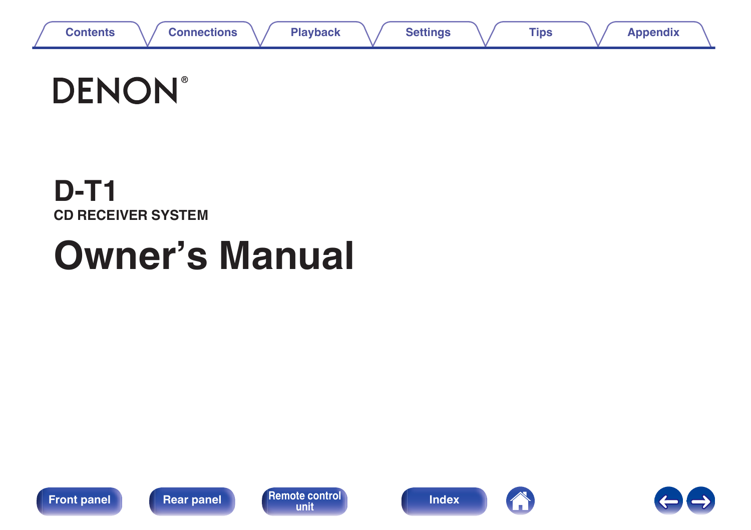

# **DENON®**

# **D-T1 CD RECEIVER SYSTEM**

# **Owner's Manual**











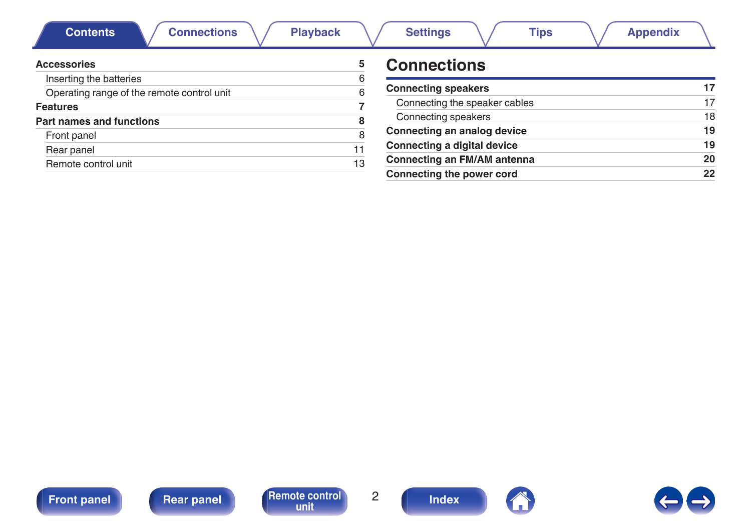<span id="page-1-0"></span>

| <b>Connections</b><br><b>Contents</b><br><b>Playback</b> |    | <b>Settings</b><br><b>Appendix</b><br>Tips |    |
|----------------------------------------------------------|----|--------------------------------------------|----|
| <b>Accessories</b>                                       | 5  | <b>Connections</b>                         |    |
| Inserting the batteries                                  | 6  |                                            |    |
| Operating range of the remote control unit               |    | <b>Connecting speakers</b>                 | 17 |
| <b>Features</b>                                          |    | Connecting the speaker cables              | 17 |
| Part names and functions                                 |    | Connecting speakers                        | 18 |
| Front panel                                              |    | Connecting an analog device                | 19 |
| Rear panel                                               |    | Connecting a digital device                | 19 |
| Remote control unit                                      | 13 | <b>Connecting an FM/AM antenna</b>         | 20 |
|                                                          |    | Connecting the power cord                  | 22 |







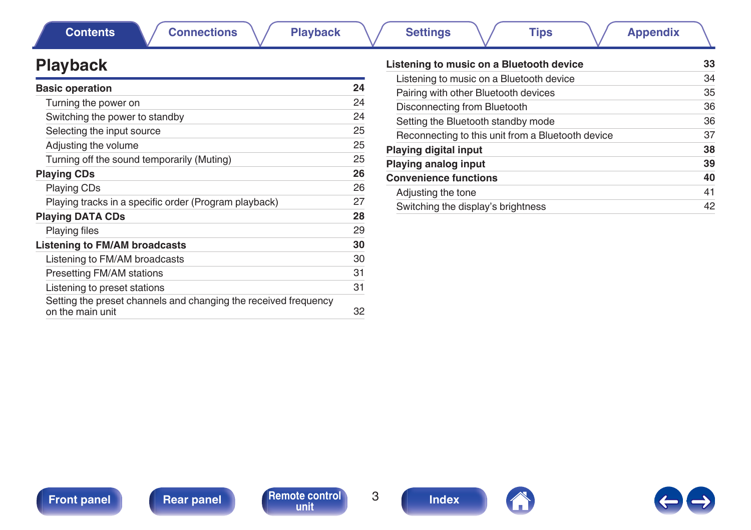

**[Front panel](#page-7-0) [Rear panel](#page-10-0) [Remote control](#page-12-0)** 3 **[Index](#page-70-0)** 



# **Playback**

| <b>Basic operation</b>                                                              | 24 |
|-------------------------------------------------------------------------------------|----|
| Turning the power on                                                                | 24 |
| Switching the power to standby                                                      | 24 |
| Selecting the input source                                                          | 25 |
| Adjusting the volume                                                                | 25 |
| Turning off the sound temporarily (Muting)                                          | 25 |
| <b>Playing CDs</b>                                                                  | 26 |
| <b>Playing CDs</b>                                                                  | 26 |
| Playing tracks in a specific order (Program playback)                               | 27 |
| <b>Playing DATA CDs</b>                                                             | 28 |
| <b>Playing files</b>                                                                | 29 |
| Listening to FM/AM broadcasts                                                       | 30 |
| Listening to FM/AM broadcasts                                                       | 30 |
| Presetting FM/AM stations                                                           | 31 |
| Listening to preset stations                                                        | 31 |
| Setting the preset channels and changing the received frequency<br>on the main unit | 32 |

| Listening to music on a Bluetooth device          | 33 |
|---------------------------------------------------|----|
| Listening to music on a Bluetooth device          | 34 |
| Pairing with other Bluetooth devices              | 35 |
| Disconnecting from Bluetooth                      | 36 |
| Setting the Bluetooth standby mode                | 36 |
| Reconnecting to this unit from a Bluetooth device | 37 |
| <b>Playing digital input</b>                      | 38 |
| <b>Playing analog input</b>                       | 39 |
| <b>Convenience functions</b>                      | 40 |
| Adjusting the tone                                | 41 |
| Switching the display's brightness                | 42 |
|                                                   |    |

### **[Contents](#page-1-0) [Connections](#page-15-0)**  $\setminus$  **[Playback](#page-22-0)**  $\setminus$  **[Settings](#page-42-0)**  $\setminus$  **[Tips](#page-48-0)**  $\setminus$  **[Appendix](#page-59-0)**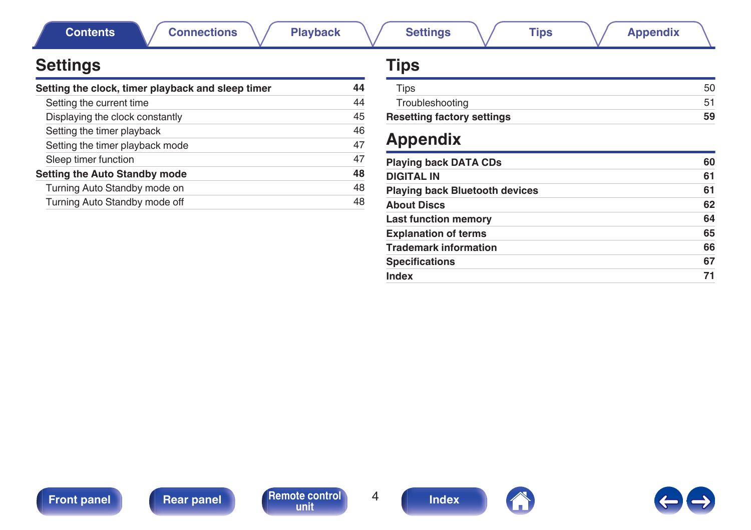**[Contents](#page-1-0) [Connections](#page-15-0)**  $\setminus$  **[Playback](#page-22-0)**  $\setminus$  **[Settings](#page-42-0)**  $\setminus$  **[Tips](#page-48-0)**  $\setminus$  **[Appendix](#page-59-0)** 

# **Settings**

| Setting the clock, timer playback and sleep timer | 44 |
|---------------------------------------------------|----|
| Setting the current time                          | 44 |
| Displaying the clock constantly                   | 45 |
| Setting the timer playback                        | 46 |
| Setting the timer playback mode                   | 47 |
| Sleep timer function                              | 47 |
| <b>Setting the Auto Standby mode</b>              | 48 |
| Turning Auto Standby mode on                      | 48 |
| Turning Auto Standby mode off                     | 48 |

# **Tips**

| <b>Resetting factory settings</b> | 59 |
|-----------------------------------|----|
| Troubleshooting                   |    |
| Tips                              |    |

# **Appendix**

| <b>Playing back DATA CDs</b>          | 60 |
|---------------------------------------|----|
| <b>DIGITAL IN</b>                     | 61 |
| <b>Playing back Bluetooth devices</b> | 61 |
| <b>About Discs</b>                    | 62 |
| <b>Last function memory</b>           | 64 |
| <b>Explanation of terms</b>           | 65 |
| <b>Trademark information</b>          | 66 |
| <b>Specifications</b>                 | 67 |
| Index                                 | 71 |





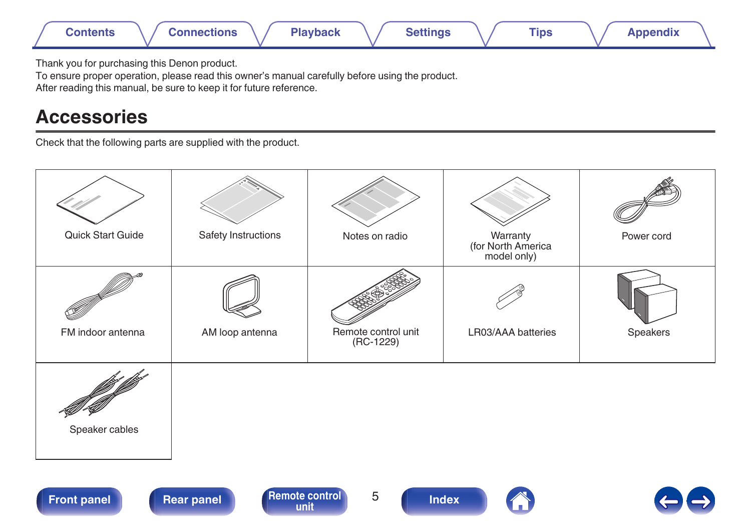<span id="page-4-0"></span>

Thank you for purchasing this Denon product.

To ensure proper operation, please read this owner's manual carefully before using the product.

After reading this manual, be sure to keep it for future reference.

# **Accessories**

Check that the following parts are supplied with the product.

| Quick Start Guide | Safety Instructions | Notes on radio                   | Warranty<br>(for North America<br>model only) | Power cord |
|-------------------|---------------------|----------------------------------|-----------------------------------------------|------------|
|                   |                     |                                  |                                               |            |
| FM indoor antenna | AM loop antenna     | Remote control unit<br>(RC-1229) | LR03/AAA batteries                            | Speakers   |
| Speaker cables    |                     |                                  |                                               |            |



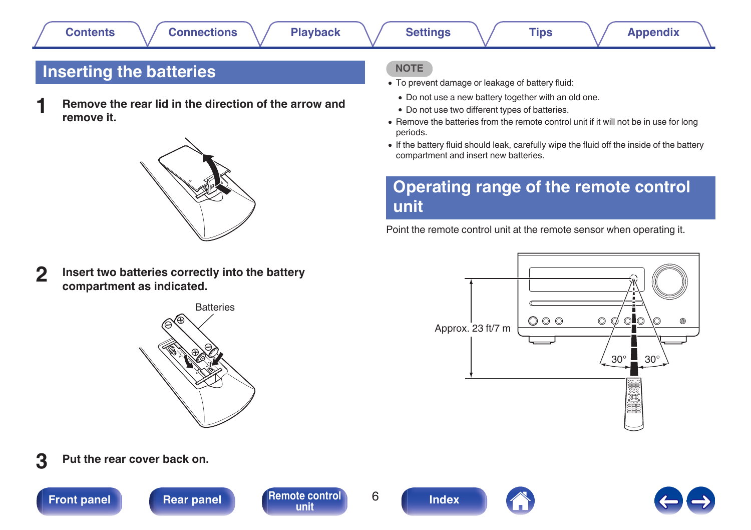# <span id="page-5-0"></span>**Inserting the batteries**

**1 Remove the rear lid in the direction of the arrow and remove it.**



**2 Insert two batteries correctly into the battery compartment as indicated.**



**3 Put the rear cover back on.**

**[Front panel](#page-7-0) [Rear panel](#page-10-0) [Remote control](#page-12-0)** 6

**[unit](#page-12-0) [Index](#page-70-0)**



### **NOTE**

- To prevent damage or leakage of battery fluid:
	- Do not use a new battery together with an old one.
	- Do not use two different types of batteries.
- Remove the batteries from the remote control unit if it will not be in use for long periods.
- 0 If the battery fluid should leak, carefully wipe the fluid off the inside of the battery compartment and insert new batteries.

# **Operating range of the remote control unit**

Point the remote control unit at the remote sensor when operating it.

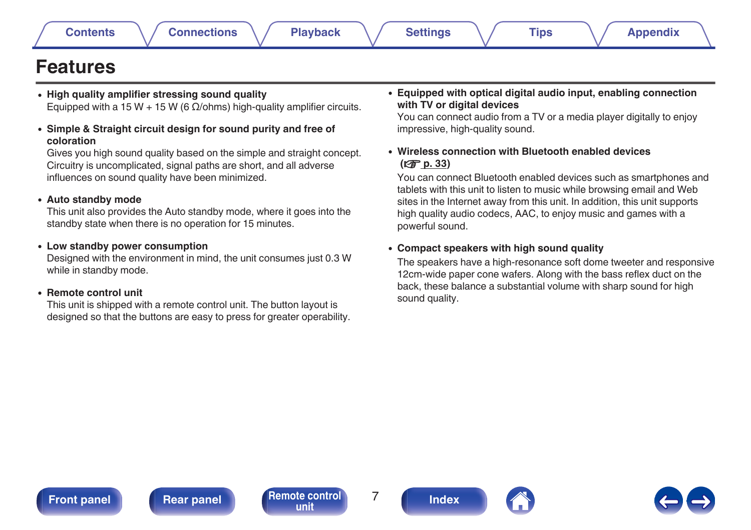# <span id="page-6-0"></span>**Features**

- 0 **High quality amplifier stressing sound quality** Equipped with a 15 W + 15 W (6  $Ω$ /ohms) high-quality amplifier circuits.
- 0 **Simple & Straight circuit design for sound purity and free of coloration**

Gives you high sound quality based on the simple and straight concept. Circuitry is uncomplicated, signal paths are short, and all adverse influences on sound quality have been minimized.

### 0 **Auto standby mode**

This unit also provides the Auto standby mode, where it goes into the standby state when there is no operation for 15 minutes.

### 0 **Low standby power consumption**

Designed with the environment in mind, the unit consumes just 0.3 W while in standby mode.

### 0 **Remote control unit**

This unit is shipped with a remote control unit. The button layout is designed so that the buttons are easy to press for greater operability. 0 **Equipped with optical digital audio input, enabling connection with TV or digital devices**

You can connect audio from a TV or a media player digitally to enjoy impressive, high-quality sound.

### 0 **Wireless connection with Bluetooth enabled devices (**v **[p. 33\)](#page-32-0)**

You can connect Bluetooth enabled devices such as smartphones and tablets with this unit to listen to music while browsing email and Web sites in the Internet away from this unit. In addition, this unit supports high quality audio codecs, AAC, to enjoy music and games with a powerful sound.

### 0 **Compact speakers with high sound quality**

The speakers have a high-resonance soft dome tweeter and responsive 12cm-wide paper cone wafers. Along with the bass reflex duct on the back, these balance a substantial volume with sharp sound for high sound quality.

**[Front panel](#page-7-0) [Rear panel](#page-10-0) [Remote control](#page-12-0)** 7 **[unit](#page-12-0) [Index](#page-70-0)**



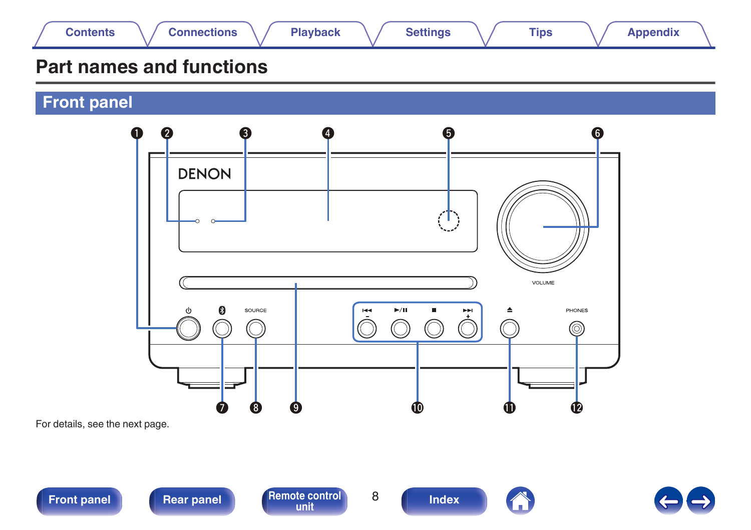<span id="page-7-0"></span>

# **Part names and functions**

**Front panel**



For details, see the next page.



**Front panel [Rear panel](#page-10-0) [Remote control](#page-12-0)** 8



**[unit](#page-12-0) [Index](#page-70-0)**

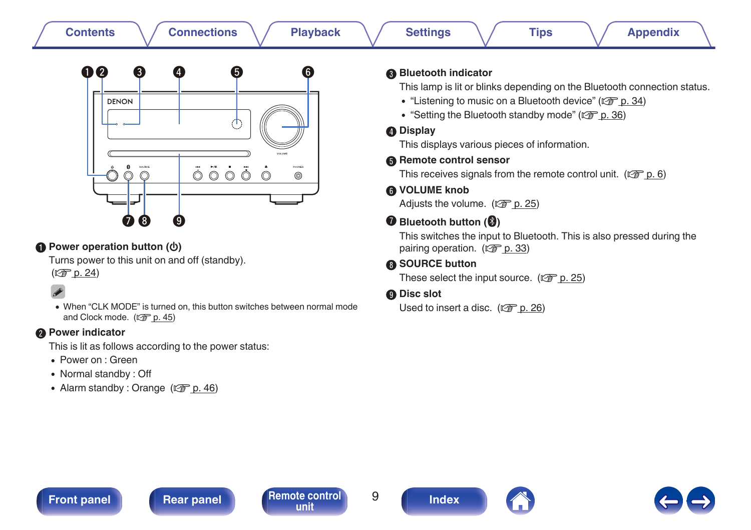| <b>Connections</b><br><b>Playback</b><br><b>Contents</b>                                                                                                                                                                                                                                                                                                                                                                                                                                                                                                                               | <b>Appendix</b><br><b>Settings</b><br><b>Tips</b>                                                                                                                                                                                                                                                                                                                                                                                                                                                                                                                                                                                                                                                                                                                                       |
|----------------------------------------------------------------------------------------------------------------------------------------------------------------------------------------------------------------------------------------------------------------------------------------------------------------------------------------------------------------------------------------------------------------------------------------------------------------------------------------------------------------------------------------------------------------------------------------|-----------------------------------------------------------------------------------------------------------------------------------------------------------------------------------------------------------------------------------------------------------------------------------------------------------------------------------------------------------------------------------------------------------------------------------------------------------------------------------------------------------------------------------------------------------------------------------------------------------------------------------------------------------------------------------------------------------------------------------------------------------------------------------------|
| 00<br>❸<br>6<br>6<br>(4)<br><b>DENON</b><br><b>COLLAGE</b><br>0<br>sounce<br>moves<br>$\ddot{\circ} \ddot{\circ} \circ \ddot{\circ}$<br>$\circledcirc$<br>◉<br>Ŧ.<br>Ø<br>8.<br>(9)<br>Power operation button ( $\phi$ )<br>Turns power to this unit on and off (standby).<br>(CF p. 24)<br>• When "CLK MODE" is turned on, this button switches between normal mode<br>and Clock mode. (L p. 45)<br><b>@</b> Power indicator<br>This is lit as follows according to the power status:<br>• Power on : Green<br>• Normal standby: Off<br>• Alarm standby: Orange $(\sqrt{2\pi} p. 46)$ | <b>Bluetooth indicator</b><br>This lamp is lit or blinks depending on the Bluetooth connection status.<br>• "Listening to music on a Bluetooth device" (CF p. 34)<br>• "Setting the Bluetooth standby mode" ( $\sqrt{2}$ p. 36)<br><b>O</b> Display<br>This displays various pieces of information.<br>Remote control sensor<br>This receives signals from the remote control unit. ( $\mathbb{Q}$ p. 6)<br><b>6</b> VOLUME knob<br>Adjusts the volume. (CF p. 25)<br><b>O</b> Bluetooth button ( <sup>3</sup> )<br>This switches the input to Bluetooth. This is also pressed during the<br>pairing operation. ( $\sqrt{2}$ p. 33)<br><b>6</b> SOURCE button<br>These select the input source. ( $\sqrt{2}$ p. 25)<br><b>O</b> Disc slot<br>Used to insert a disc. $(\sqrt{2})$ p. 26) |
|                                                                                                                                                                                                                                                                                                                                                                                                                                                                                                                                                                                        |                                                                                                                                                                                                                                                                                                                                                                                                                                                                                                                                                                                                                                                                                                                                                                                         |

**[Front panel](#page-7-0) [Rear panel](#page-10-0) [Remote control](#page-12-0)** 9 **and 1 [Index](#page-70-0)** 



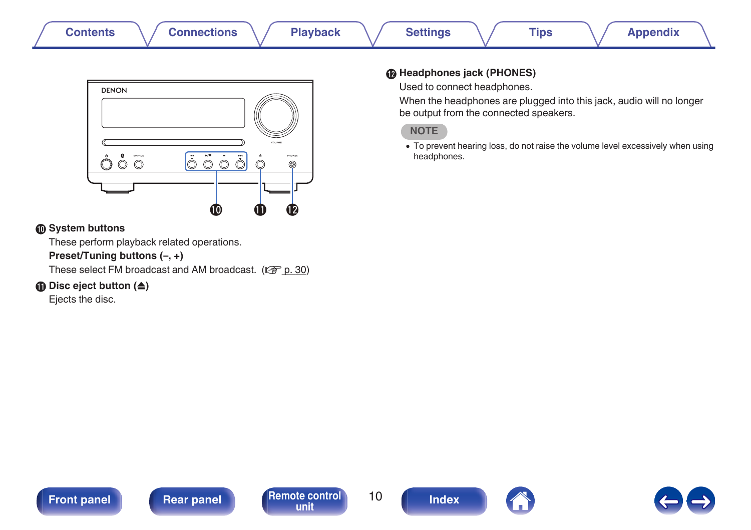| <b>Contents</b><br><b>Settings</b><br><b>Connections</b><br><b>Playback</b><br>Tips | Appendix |
|-------------------------------------------------------------------------------------|----------|
|-------------------------------------------------------------------------------------|----------|



### **<sup>6</sup>** System buttons

These perform playback related operations.

### **Preset/Tuning buttons (–, +)**

These select FM broadcast and AM broadcast. ( $\mathbb{F}$  [p. 30\)](#page-29-0)

### **Disc eject button (** $\triangle$ **)**

Ejects the disc.

### L **Headphones jack (PHONES)**

Used to connect headphones.

When the headphones are plugged into this jack, audio will no longer be output from the connected speakers.

### **NOTE**

• To prevent hearing loss, do not raise the volume level excessively when using headphones.



**[unit](#page-12-0) [Index](#page-70-0)**

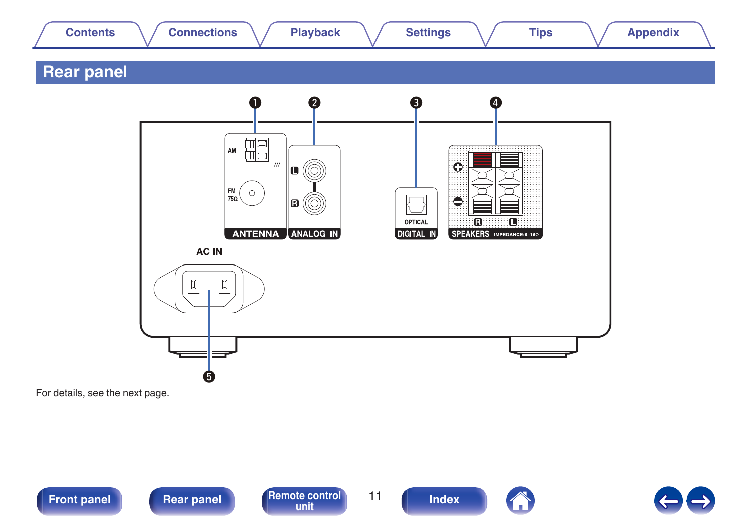<span id="page-10-0"></span>

For details, see the next page.



**[Front panel](#page-7-0) Rear panel [Remote control](#page-12-0)** 11





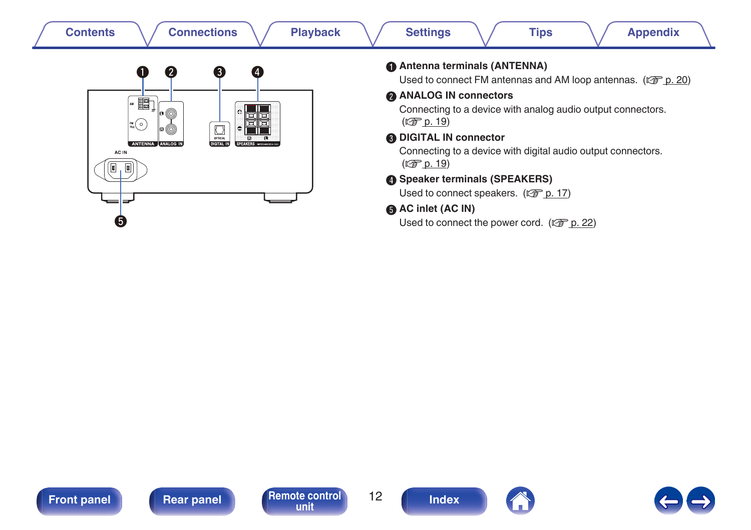| <b>Connections</b><br><b>Playback</b><br><b>Contents</b>                                                                                                                                                       | <b>Settings</b><br><b>Tips</b><br><b>Appendix</b>                                                                                                                                                                                                                                                                                  |
|----------------------------------------------------------------------------------------------------------------------------------------------------------------------------------------------------------------|------------------------------------------------------------------------------------------------------------------------------------------------------------------------------------------------------------------------------------------------------------------------------------------------------------------------------------|
| 3<br>0<br>2<br>$\left( 4 \right)$<br>■]<br>• ⊚<br>iee<br>Jee<br>$\left  \frac{m}{750} \right( \circ \right)$<br>$\overline{\cup}$<br> :©<br>ANTENNA ANALOG N<br>DIGITAL.<br><b>SPEAKERS</b> IMPROVERS<br>AC IN | Antenna terminals (ANTENNA)<br>Used to connect FM antennas and AM loop antennas. ( $\mathbb{Q}^2$ p. 20)<br><b>ANALOG IN connectors</b><br>Connecting to a device with analog audio output connectors.<br>(CF p. 19)<br><b>ODIGITAL IN connector</b><br>Connecting to a device with digital audio output connectors.<br>(CF p. 19) |
| Ø                                                                                                                                                                                                              | Speaker terminals (SPEAKERS)<br>Used to connect speakers. (CF p. 17)<br>AC inlet (AC IN)<br>Used to connect the power cord. $(\sqrt{2^2} p. 22)$                                                                                                                                                                                   |







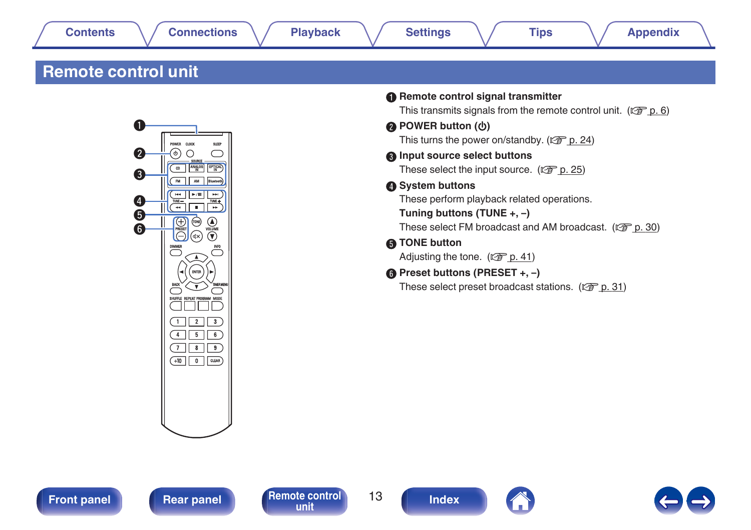# <span id="page-12-0"></span>**Remote control unit**



| <b>Remote control signal transmitter</b><br>This transmits signals from the remote control unit. ( $\mathbb{Q}^n$ p. 6) |
|-------------------------------------------------------------------------------------------------------------------------|
| <b>@</b> POWER button (约)                                                                                               |
| This turns the power on/standby. $(\sqrt{2} \cdot \sqrt{2})$ p. 24)                                                     |
| <b>O</b> Input source select buttons                                                                                    |
| These select the input source. $(\sqrt{2} \cdot \sqrt{2})$                                                              |
| System buttons                                                                                                          |
| These perform playback related operations.                                                                              |
| Tuning buttons (TUNE +, $-$ )                                                                                           |
| These select FM broadcast and AM broadcast. ( $\mathbb{Q}$ p. 30)                                                       |
| <b>6</b> TONE button                                                                                                    |
| Adjusting the tone. $(\sqrt{2\pi} p. 41)$                                                                               |
| $\bigcirc$ Preset buttons (PRESET +, -)                                                                                 |
| These select preset broadcast stations. ( $\mathbb{Q}^{\bullet}$ p. 31)                                                 |





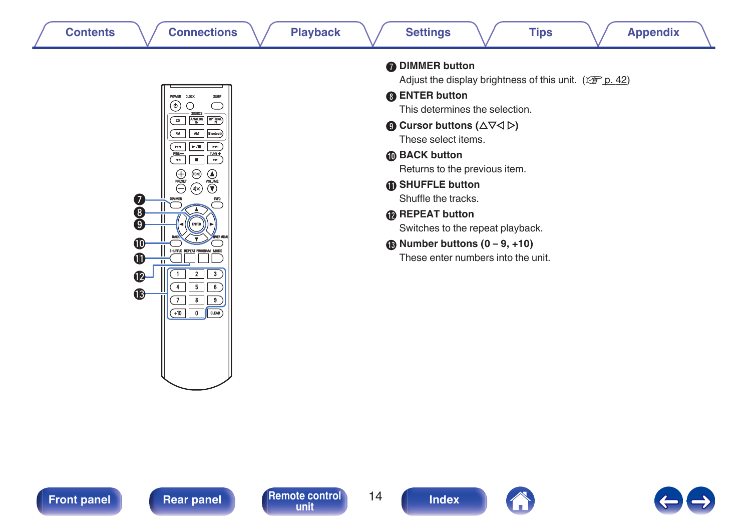



|                        | <b>DIMMER button</b><br>Adjust the display brightness of this unit. ( $\sqrt{2}$ p. 42) |
|------------------------|-----------------------------------------------------------------------------------------|
| <b>A</b> ENTER button  |                                                                                         |
|                        | This determines the selection.                                                          |
|                        | <b>O</b> Cursor buttons ( $\triangle \nabla \triangle \triangleright$ )                 |
|                        | These select items.                                                                     |
| <b>M</b> BACK button   |                                                                                         |
|                        | Returns to the previous item.                                                           |
|                        | <b>6</b> SHUFFLE button                                                                 |
|                        | Shuffle the tracks.                                                                     |
| <b>B</b> REPEAT button |                                                                                         |
|                        | Switches to the repeat playback.                                                        |
|                        | $\circledR$ Number buttons $(0 - 9, +10)$                                               |
|                        | These enter numbers into the unit.                                                      |





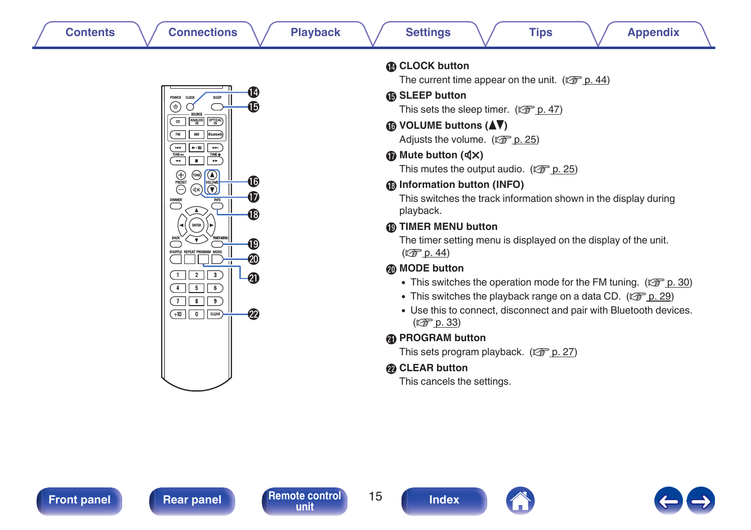| п<br>J<br><b>CLOCK</b><br>POWER<br><b>SLEP</b><br>φ<br><b>SOURCE</b><br><b>ANALOG</b><br><b>OPTICAL</b><br>œ<br>Blustooth<br>FM.<br>AM | 4<br>15  |
|----------------------------------------------------------------------------------------------------------------------------------------|----------|
| -70<br>м<br>÷.<br>TUNE-<br>TUNE+<br>г<br>(TON<br>۰,<br><b>PRESET</b><br>VOLUME<br>dХ                                                   | 16       |
| <b>INFO</b><br><b>DIMMER</b><br><b>BOR</b><br>MО<br><b>TMER MENU</b>                                                                   | 18<br>19 |
| <b>REPEAT PROBRAM MODE</b><br><b>SHUFFLE</b><br>π<br>2<br>3<br>1<br>4<br>5<br>6                                                        |          |

99

### **M** CLOCK button

The current time appear on the unit.  $(\sqrt{p\cdot p} \cdot 44)$ 

### **Conduct SLEEP** button

This sets the sleep timer. ( $\sqrt{p}$  [p. 47\)](#page-46-0)

**C** VOLUME buttons ( $\blacktriangle$ **V**)

Adiusts the volume.  $(\sqrt{p} \cdot \frac{p}{25})$ 

### $\bigcirc$  Mute button ( $\biguplus$ X)

This mutes the output audio.  $(\sqrt{p} \cdot p. 25)$  $(\sqrt{p} \cdot p. 25)$ 

### R **Information button (INFO)**

This switches the track information shown in the display during playback.

### S **TIMER MENU button**

The timer setting menu is displayed on the display of the unit.  $(\sqrt{2} D. 44)$ 

### **n** MODE button

- This switches the operation mode for the FM tuning. ( $\mathbb{Q}$  [p. 30\)](#page-29-0)
- This switches the playback range on a data CD. ( $\mathbb{Q}$  [p. 29\)](#page-28-0)
- 0 Use this to connect, disconnect and pair with Bluetooth devices.  $(\sqrt{2})$  [p. 33\)](#page-32-0)

### **@** PROGRAM button

This sets program playback. ( $\sqrt{\epsilon}$  [p. 27\)](#page-26-0)

### **CLEAR button**

This cancels the settings.

**[unit](#page-12-0) [Index](#page-70-0)**

 $(7) 8 9$  $(+10$  0 CLEAR

DIMMER



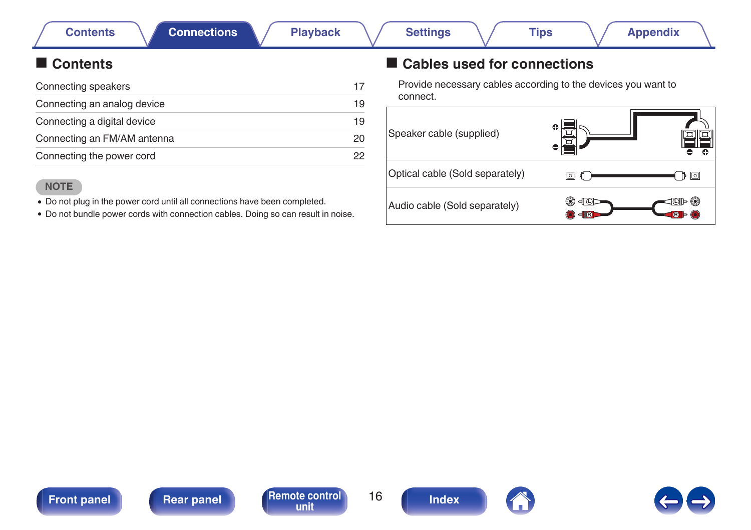# <span id="page-15-0"></span>**Contents**

| Connecting speakers         | 17 |
|-----------------------------|----|
| Connecting an analog device | 19 |
| Connecting a digital device | 19 |
| Connecting an FM/AM antenna | 20 |
| Connecting the power cord   | 22 |

### **NOTE**

• Do not plug in the power cord until all connections have been completed.

0 Do not bundle power cords with connection cables. Doing so can result in noise.

# ■ Cables used for connections

Provide necessary cables according to the devices you want to connect.





**[unit](#page-12-0) [Index](#page-70-0)**

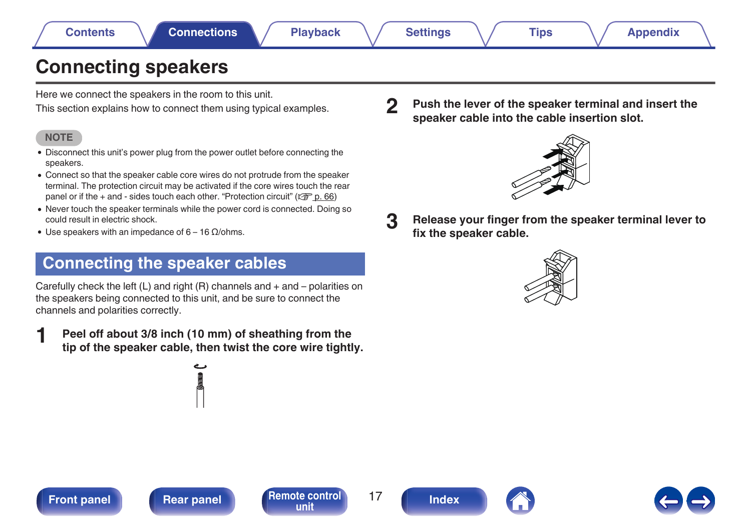# <span id="page-16-0"></span>**Connecting speakers**

Here we connect the speakers in the room to this unit.

This section explains how to connect them using typical examples.

### **NOTE**

- Disconnect this unit's power plug from the power outlet before connecting the speakers.
- 0 Connect so that the speaker cable core wires do not protrude from the speaker terminal. The protection circuit may be activated if the core wires touch the rear panel or if the  $+$  and  $-$  sides touch each other. ["Protection circuit" \(](#page-65-0) $\sqrt{2}$  p. 66)
- 0 Never touch the speaker terminals while the power cord is connected. Doing so could result in electric shock.
- 0 Use speakers with an impedance of 6 16 Ω/ohms.

# **Connecting the speaker cables**

Carefully check the left (L) and right (R) channels and + and – polarities on the speakers being connected to this unit, and be sure to connect the channels and polarities correctly.

**1 Peel off about 3/8 inch (10 mm) of sheathing from the tip of the speaker cable, then twist the core wire tightly.** **2 Push the lever of the speaker terminal and insert the speaker cable into the cable insertion slot.**



- 
- **3 Release your finger from the speaker terminal lever to fix the speaker cable.**











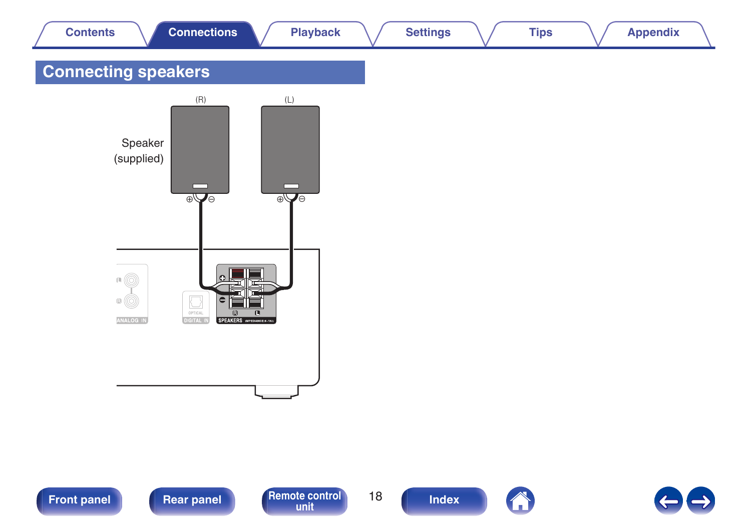<span id="page-17-0"></span>

| <b>Contents</b>                                        | <b>Connections</b>                                                                             | <b>Playback</b>                                          | <b>Settings</b> | <b>Tips</b> | <b>Appendix</b> |  |
|--------------------------------------------------------|------------------------------------------------------------------------------------------------|----------------------------------------------------------|-----------------|-------------|-----------------|--|
| <b>Connecting speakers</b>                             |                                                                                                |                                                          |                 |             |                 |  |
| Speaker<br>(supplied)                                  | $(\mathsf{R})$<br>$\overline{\oplus}$                                                          | $(\mathrel{\mathop{\sqcup}})$<br>$\overline{\text{exp}}$ |                 |             |                 |  |
| $\bullet$ $\circledcirc$<br>$\boxdot$ (O)<br>ANALOG IN | $\boxed{\bigcup_{\text{OPTICAL}}}$<br> ब<br><b>R</b><br>SPEAKERS IMPEDANCE:6-160<br>DIGITAL IN | 匞                                                        |                 |             |                 |  |

**[Front panel](#page-7-0) [Rear panel](#page-10-0) [Remote control](#page-12-0) 18 [Index](#page-70-0)** 



A

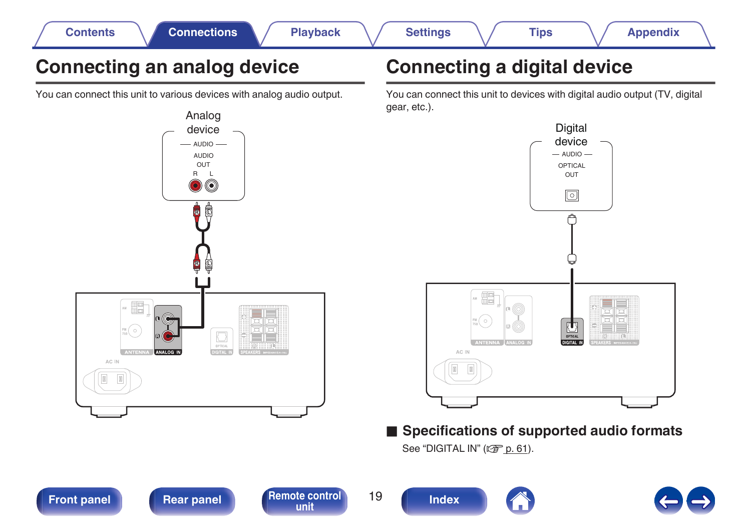<span id="page-18-0"></span>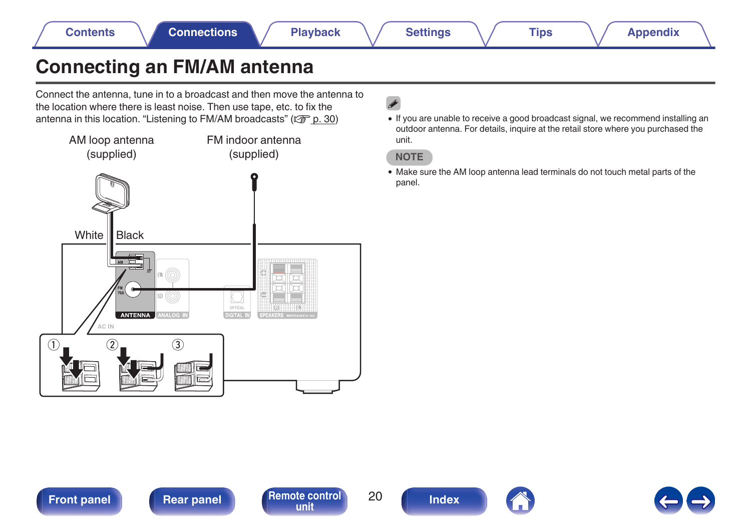# <span id="page-19-0"></span>**Connecting an FM/AM antenna**

Connect the antenna, tune in to a broadcast and then move the antenna to the location where there is least noise. Then use tape, etc. to fix the antenna in this location. ["Listening to FM/AM broadcasts" \(](#page-29-0) $\mathbb{Q}$  p. 30)



# $\overline{\mathscr{L}}$

0 If you are unable to receive a good broadcast signal, we recommend installing an outdoor antenna. For details, inquire at the retail store where you purchased the unit.

### **NOTE**

0 Make sure the AM loop antenna lead terminals do not touch metal parts of the panel.





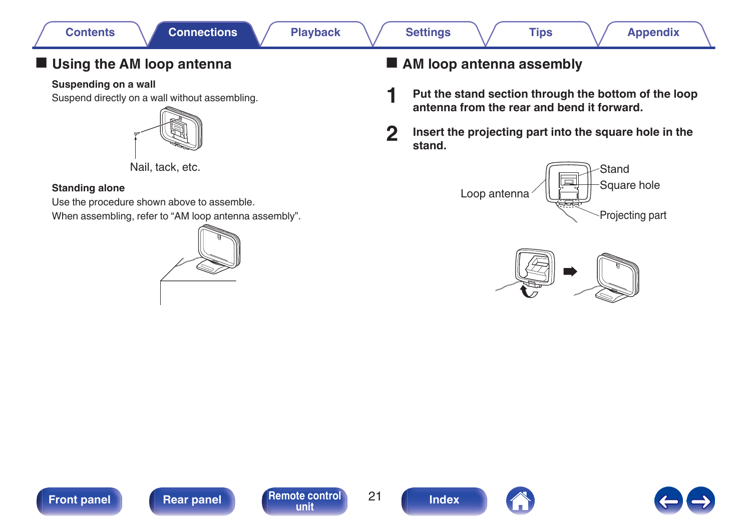## **Using the AM loop antenna**

### **Suspending on a wall**

Suspend directly on a wall without assembling.



Nail, tack, etc.

### **Standing alone**

Use the procedure shown above to assemble. When assembling, refer to "AM loop antenna assembly".



# ■ AM loop antenna assembly

- **1 Put the stand section through the bottom of the loop antenna from the rear and bend it forward.**
- 

**2 Insert the projecting part into the square hole in the stand.**











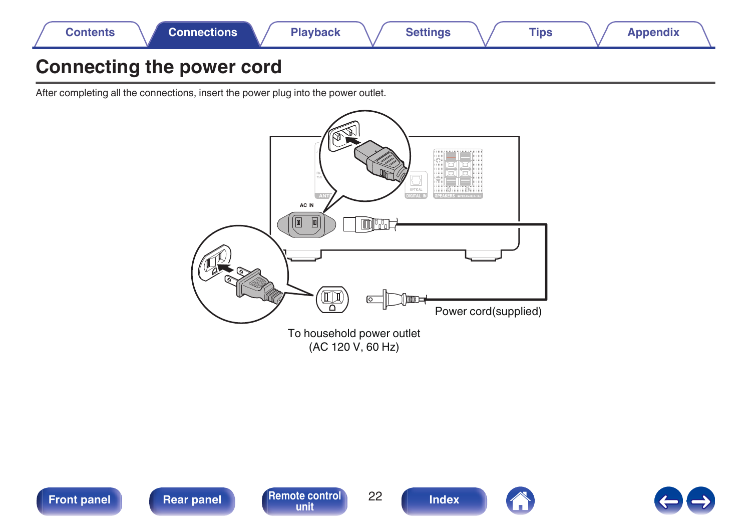<span id="page-21-0"></span>

# **Connecting the power cord**

After completing all the connections, insert the power plug into the power outlet.





**[Front panel](#page-7-0) [Rear panel](#page-10-0) [Remote control](#page-12-0)** 22



**[Index](#page-70-0)** 



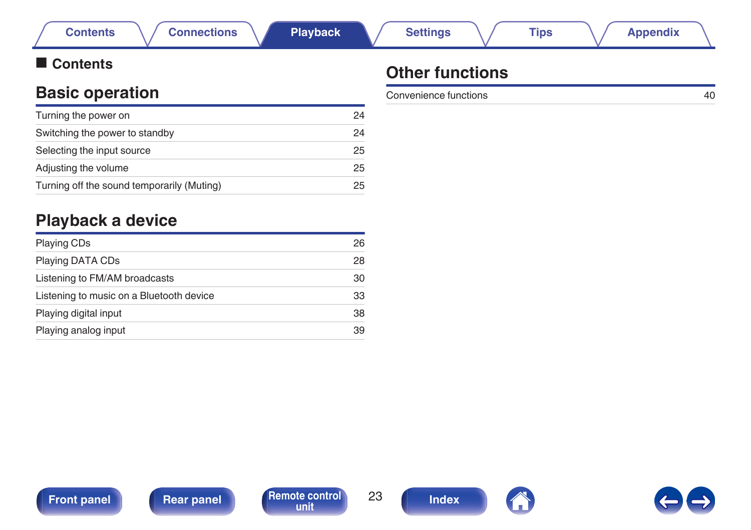# **Basic operation**

<span id="page-22-0"></span>■ Contents

| Turning the power on                       | 24 |
|--------------------------------------------|----|
| Switching the power to standby             | 24 |
| Selecting the input source                 | 25 |
| Adjusting the volume                       | 25 |
| Turning off the sound temporarily (Muting) | 25 |
|                                            |    |

# **Playback a device**

| <b>Playing CDs</b>                       | 26 |
|------------------------------------------|----|
| Playing DATA CDs                         | 28 |
| Listening to FM/AM broadcasts            | 30 |
| Listening to music on a Bluetooth device | 33 |
| Playing digital input                    | 38 |
| Playing analog input                     | 39 |
|                                          |    |

# **Other functions**

Convenience functions [40](#page-39-0)



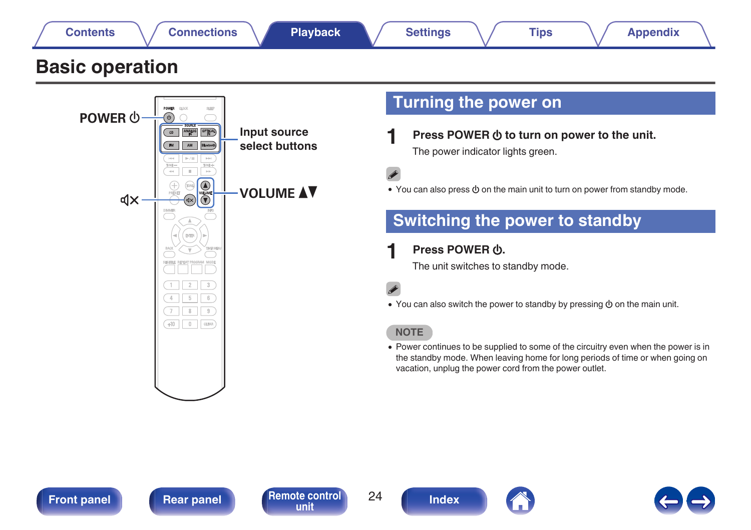<span id="page-23-0"></span>

# **Basic operation**



# **Turning the power on**

**Press POWER**  $\Phi$  to turn on power to the unit. The power indicator lights green.

• You can also press  $\phi$  on the main unit to turn on power from standby mode.

# **Switching the power to standby**

### **Press POWER (b).**

**[unit](#page-12-0) [Index](#page-70-0)**

The unit switches to standby mode.

• You can also switch the power to standby by pressing  $\Phi$  on the main unit.

### **NOTE**

• Power continues to be supplied to some of the circuitry even when the power is in the standby mode. When leaving home for long periods of time or when going on vacation, unplug the power cord from the power outlet.



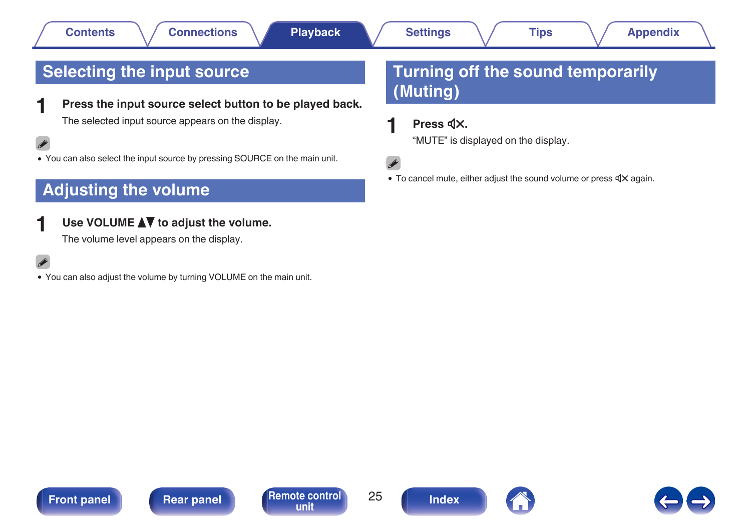# <span id="page-24-0"></span>**Selecting the input source**

**1 Press the input source select button to be played back.** The selected input source appears on the display.

 $\overline{\rightarrow}$ 

• You can also select the input source by pressing SOURCE on the main unit.

# **Adjusting the volume**

### **Use VOLUME ▲▼** to adjust the volume.

The volume level appears on the display.

• You can also adjust the volume by turning VOLUME on the main unit.

# **Turning off the sound temporarily (Muting)**

### **Press**  $d$ **X.**

"MUTE" is displayed on the display.

 $\bullet$  To cancel mute, either adjust the sound volume or press  $\mathbb{d}X$  again.





**[unit](#page-12-0) [Index](#page-70-0)**

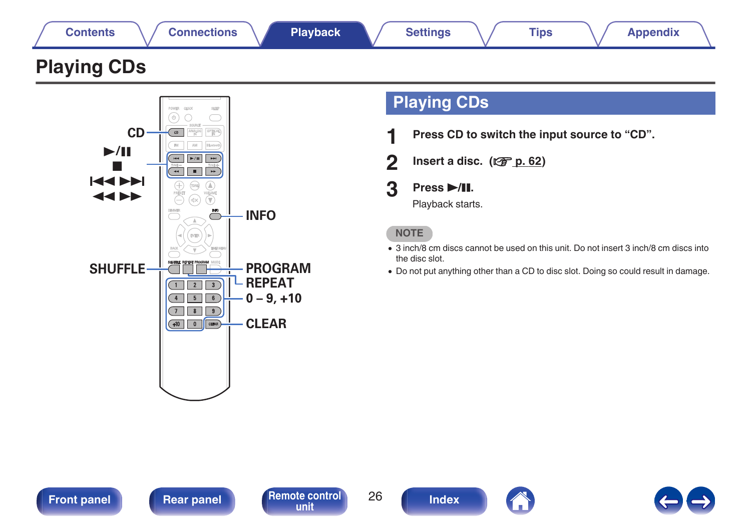<span id="page-25-0"></span>

# **Playing CDs**



# **Playing CDs**

- **1 Press CD to switch the input source to "CD".**
- **2 Insert a disc.** ( $\sqrt{2}$  [p. 62\)](#page-61-0)

# **3 Press** 1**/**3**.**

Playback starts.

### **NOTE**

- 0 3 inch/8 cm discs cannot be used on this unit. Do not insert 3 inch/8 cm discs into the disc slot.
- Do not put anything other than a CD to disc slot. Doing so could result in damage.





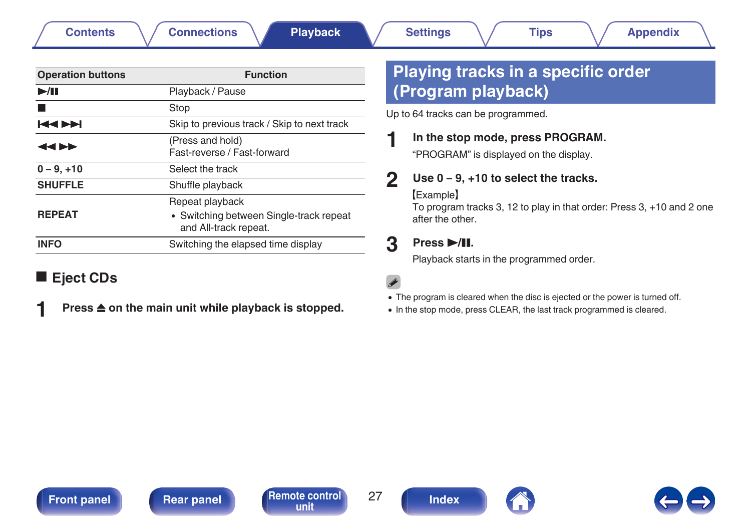<span id="page-26-0"></span>

| <b>Function</b>                                                                     |
|-------------------------------------------------------------------------------------|
| Playback / Pause                                                                    |
| Stop                                                                                |
| Skip to previous track / Skip to next track                                         |
| (Press and hold)<br>Fast-reverse / Fast-forward                                     |
| Select the track                                                                    |
| Shuffle playback                                                                    |
| Repeat playback<br>• Switching between Single-track repeat<br>and All-track repeat. |
| Switching the elapsed time display                                                  |
|                                                                                     |

# **E** Eject CDs

- 
- **Press**  $\triangle$  **on the main unit while playback is stopped.**

# **Playing tracks in a specific order (Program playback)**

Up to 64 tracks can be programmed.

### **1 In the stop mode, press PROGRAM.**

"PROGRAM" is displayed on the display.

### **2 Use 0 – 9, +10 to select the tracks.**

### **[Example]**

To program tracks 3, 12 to play in that order: Press 3, +10 and 2 one after the other.

### **3 Press** 1**/**3**.**

Playback starts in the programmed order.

### $\overline{a}$

- The program is cleared when the disc is ejected or the power is turned off.
- In the stop mode, press CLEAR, the last track programmed is cleared.

**[Front panel](#page-7-0) [Rear panel](#page-10-0) [Remote control](#page-12-0)** 27





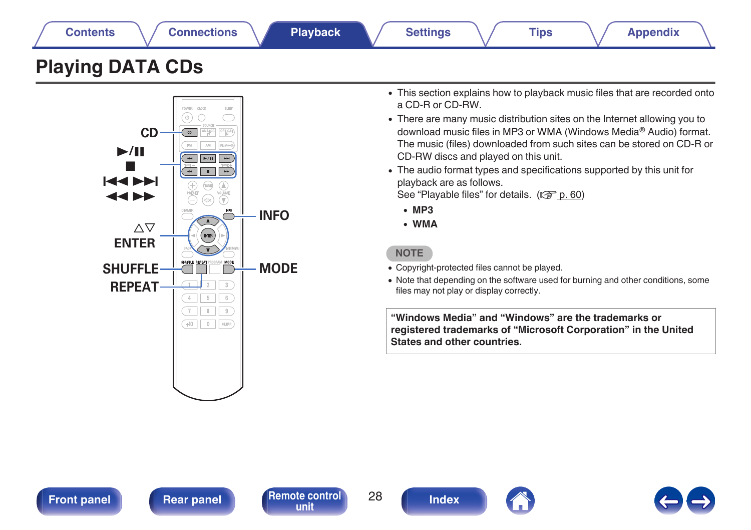<span id="page-27-0"></span>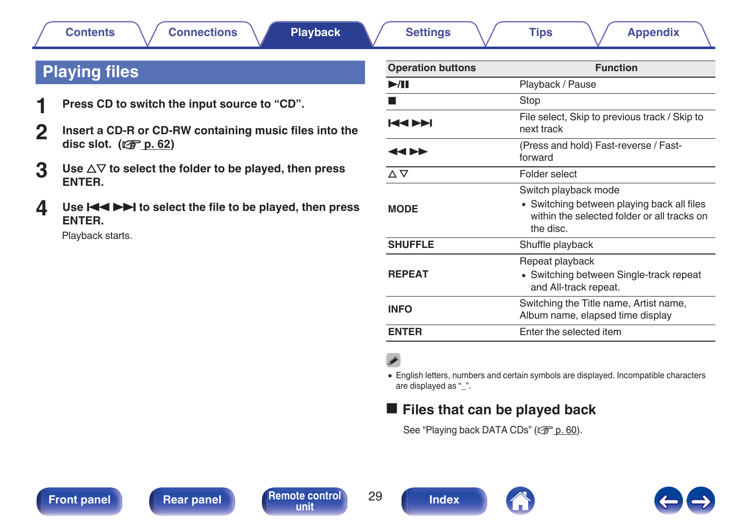# <span id="page-28-0"></span>**Playing files**

- **1 Press CD to switch the input source to "CD".**
- **2 Insert a CD-R or CD-RW containing music files into the disc slot.** ( $\sqrt{r}$  [p. 62\)](#page-61-0)
- **3** Use  $\Delta \nabla$  to select the folder to be played, then press **ENTER.**
- **4** Use **898 1 b** to select the file to be played, then press **ENTER.**

Playback starts.

| <b>Operation buttons</b>  | <b>Function</b>                                                                                                                |
|---------------------------|--------------------------------------------------------------------------------------------------------------------------------|
| $\blacktriangleright$ /II | Playback / Pause                                                                                                               |
|                           | Stop                                                                                                                           |
| МРИ                       | File select, Skip to previous track / Skip to<br>next track                                                                    |
| ◀◀▶▶                      | (Press and hold) Fast-reverse / Fast-<br>forward                                                                               |
| ∆∇                        | Folder select                                                                                                                  |
| <b>MODE</b>               | Switch playback mode<br>• Switching between playing back all files<br>within the selected folder or all tracks on<br>the disc. |
| <b>SHUFFLE</b>            | Shuffle playback                                                                                                               |
| <b>REPEAT</b>             | Repeat playback<br>• Switching between Single-track repeat<br>and All-track repeat.                                            |
| <b>INFO</b>               | Switching the Title name, Artist name,<br>Album name, elapsed time display                                                     |
| <b>ENTER</b>              | Enter the selected item                                                                                                        |

0 English letters, numbers and certain symbols are displayed. Incompatible characters are displayed as " ".

## **Files that can be played back**

See ["Playing back DATA CDs" \(](#page-59-0)v p. 60).



**[unit](#page-12-0) [Index](#page-70-0)**

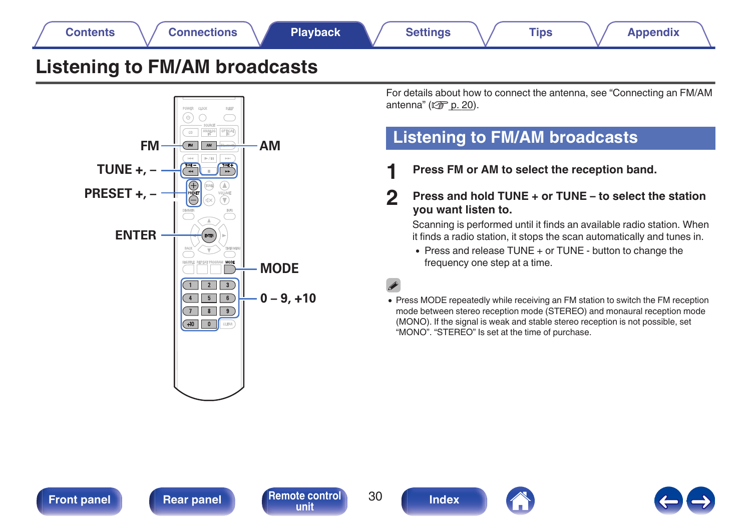# <span id="page-29-0"></span>**Listening to FM/AM broadcasts**



For details about how to connect the antenna, see ["Connecting an FM/AM](#page-19-0) [antenna" \(](#page-19-0) $\sqrt{\epsilon}$  p. 20).

# **Listening to FM/AM broadcasts**

- **1 Press FM or AM to select the reception band.**
- **2 Press and hold TUNE + or TUNE to select the station you want listen to.**

Scanning is performed until it finds an available radio station. When it finds a radio station, it stops the scan automatically and tunes in.

- Press and release TUNE + or TUNE button to change the frequency one step at a time.
- 
- Press MODE repeatedly while receiving an FM station to switch the FM reception mode between stereo reception mode (STEREO) and monaural reception mode (MONO). If the signal is weak and stable stereo reception is not possible, set "MONO". "STEREO" Is set at the time of purchase.

**[Front panel](#page-7-0) [Rear panel](#page-10-0) [Remote control](#page-12-0)** 30





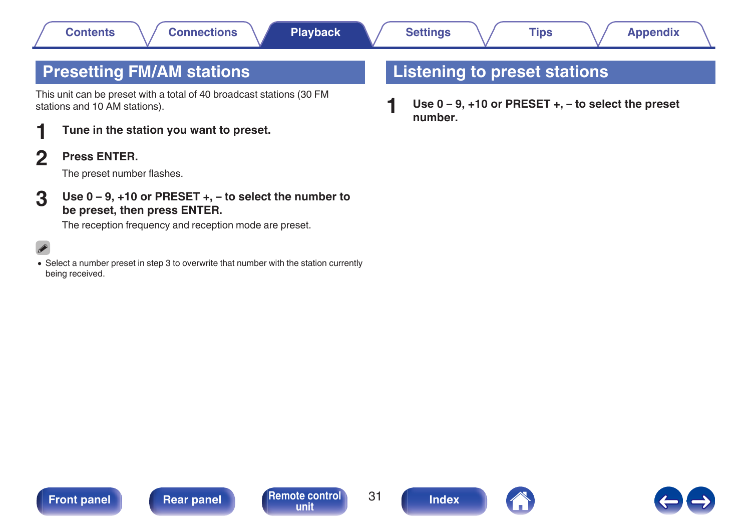# <span id="page-30-0"></span>**Presetting FM/AM stations**

This unit can be preset with a total of 40 broadcast stations (30 FM stations and 10 AM stations).

- **1 Tune in the station you want to preset.**
- **2 Press ENTER.**

The preset number flashes.

**3 Use 0 – 9, +10 or PRESET +, – to select the number to be preset, then press ENTER.**

The reception frequency and reception mode are preset.

• Select a number preset in step 3 to overwrite that number with the station currently being received.

# **Listening to preset stations**

**1 Use 0 – 9, +10 or PRESET +, – to select the preset number.**





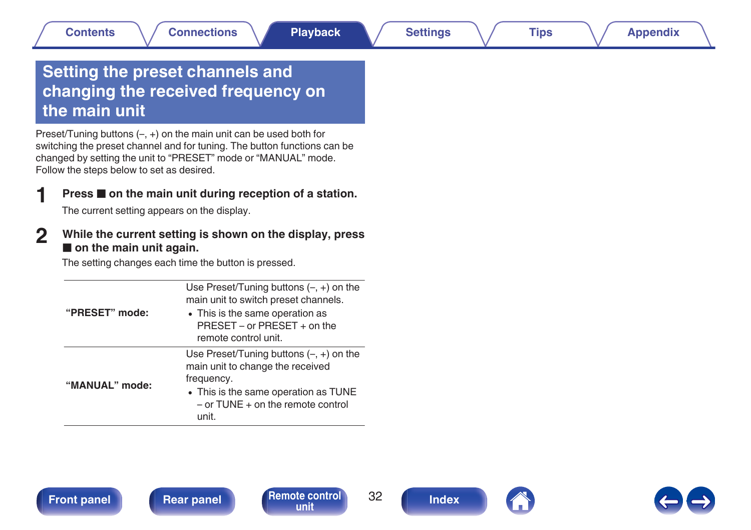# <span id="page-31-0"></span>**Setting the preset channels and changing the received frequency on the main unit**

Preset/Tuning buttons (–, +) on the main unit can be used both for switching the preset channel and for tuning. The button functions can be changed by setting the unit to "PRESET" mode or "MANUAL" mode. Follow the steps below to set as desired.

### **Press <b>2** on the main unit during reception of a station.

The current setting appears on the display.

### **2 While the current setting is shown on the display, press**  $\blacksquare$  on the main unit again.

The setting changes each time the button is pressed.

| "PRESET" mode: | Use Preset/Tuning buttons $(-, +)$ on the<br>main unit to switch preset channels.<br>• This is the same operation as<br>$PRFSFT - or PRFSFT + on the$<br>remote control unit.         |
|----------------|---------------------------------------------------------------------------------------------------------------------------------------------------------------------------------------|
| "MANUAL" mode: | Use Preset/Tuning buttons $(-, +)$ on the<br>main unit to change the received<br>frequency.<br>• This is the same operation as TUNE<br>$-$ or TUNE $+$ on the remote control<br>unit. |

**[unit](#page-12-0) [Index](#page-70-0)**



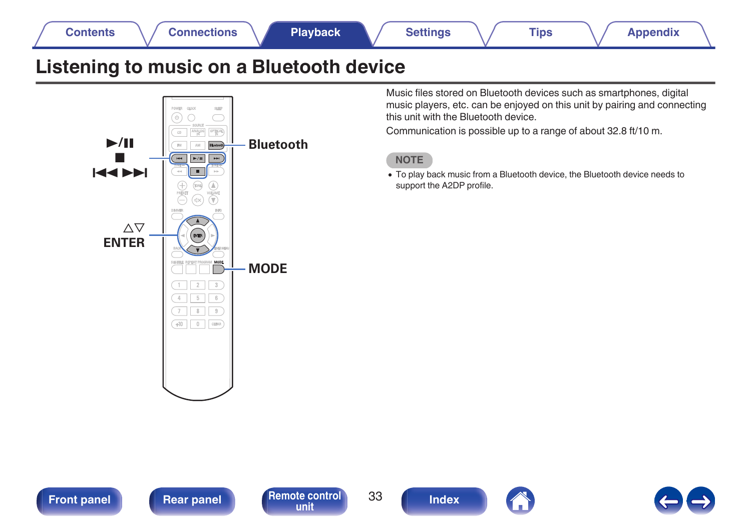<span id="page-32-0"></span>

# **Listening to music on a Bluetooth device**



Music files stored on Bluetooth devices such as smartphones, digital music players, etc. can be enjoyed on this unit by pairing and connecting this unit with the Bluetooth device.

Communication is possible up to a range of about 32.8 ft/10 m.



0 To play back music from a Bluetooth device, the Bluetooth device needs to support the A2DP profile.





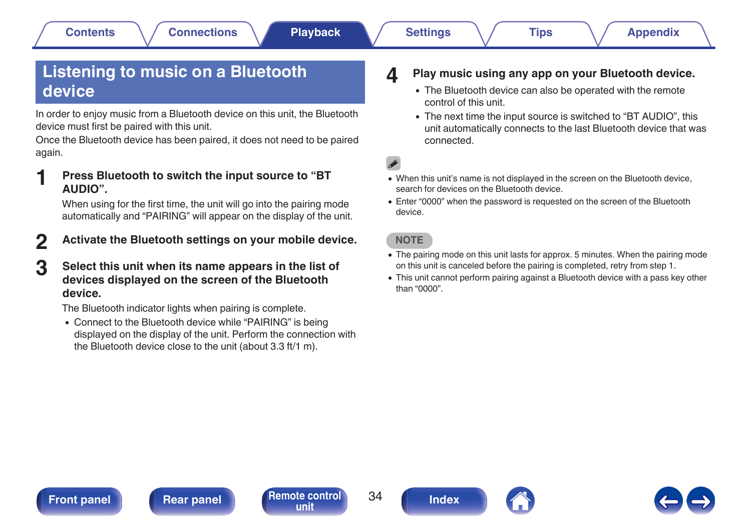# <span id="page-33-0"></span>**Listening to music on a Bluetooth device**

In order to enjoy music from a Bluetooth device on this unit, the Bluetooth device must first be paired with this unit.

Once the Bluetooth device has been paired, it does not need to be paired again.

**1 Press Bluetooth to switch the input source to "BT AUDIO".**

When using for the first time, the unit will go into the pairing mode automatically and "PAIRING" will appear on the display of the unit.

- **2 Activate the Bluetooth settings on your mobile device.**
- **3 Select this unit when its name appears in the list of devices displayed on the screen of the Bluetooth device.**

The Bluetooth indicator lights when pairing is complete.

• Connect to the Bluetooth device while "PAIRING" is being displayed on the display of the unit. Perform the connection with the Bluetooth device close to the unit (about 3.3 ft/1 m).

- **4 Play music using any app on your Bluetooth device.**
	- The Bluetooth device can also be operated with the remote control of this unit.
	- The next time the input source is switched to "BT AUDIO", this unit automatically connects to the last Bluetooth device that was connected.

- 0 When this unit's name is not displayed in the screen on the Bluetooth device, search for devices on the Bluetooth device.
- 0 Enter "0000" when the password is requested on the screen of the Bluetooth device.

**NOTE**

- The pairing mode on this unit lasts for approx. 5 minutes. When the pairing mode on this unit is canceled before the pairing is completed, retry from step 1.
- 0 This unit cannot perform pairing against a Bluetooth device with a pass key other than "0000".

**[Front panel](#page-7-0) [Rear panel](#page-10-0) [Remote control](#page-12-0)** 34 **[unit](#page-12-0) [Index](#page-70-0)**



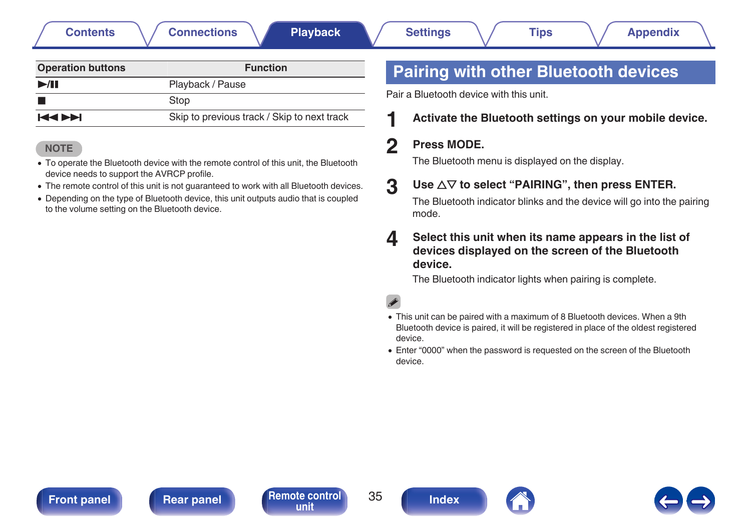**[Contents](#page-1-0)**  $\setminus$  / [Connections](#page-15-0)  $\setminus$  **[Playback](#page-22-0)**  $\setminus$  [Settings](#page-42-0)  $\setminus$  [Tips](#page-48-0)  $\setminus$  [Appendix](#page-59-0)

<span id="page-34-0"></span>

| <b>Operation buttons</b> | <b>Function</b>                             |  |  |
|--------------------------|---------------------------------------------|--|--|
| >1                       | Playback / Pause                            |  |  |
|                          | Stop                                        |  |  |
| <b>KKIN</b>              | Skip to previous track / Skip to next track |  |  |

### **NOTE**

- To operate the Bluetooth device with the remote control of this unit, the Bluetooth device needs to support the AVRCP profile.
- The remote control of this unit is not guaranteed to work with all Bluetooth devices.
- Depending on the type of Bluetooth device, this unit outputs audio that is coupled to the volume setting on the Bluetooth device.

# **Pairing with other Bluetooth devices**

Pair a Bluetooth device with this unit.

### **1 Activate the Bluetooth settings on your mobile device.**

### **2 Press MODE.**

The Bluetooth menu is displayed on the display.

### **3** Use  $\Delta \nabla$  to select "PAIRING", then press ENTER.

The Bluetooth indicator blinks and the device will go into the pairing mode.

### **4 Select this unit when its name appears in the list of devices displayed on the screen of the Bluetooth device.**

The Bluetooth indicator lights when pairing is complete.

- This unit can be paired with a maximum of 8 Bluetooth devices. When a 9th Bluetooth device is paired, it will be registered in place of the oldest registered device.
- 0 Enter "0000" when the password is requested on the screen of the Bluetooth device.

**[Front panel](#page-7-0) [Rear panel](#page-10-0) [Remote control](#page-12-0)** 35





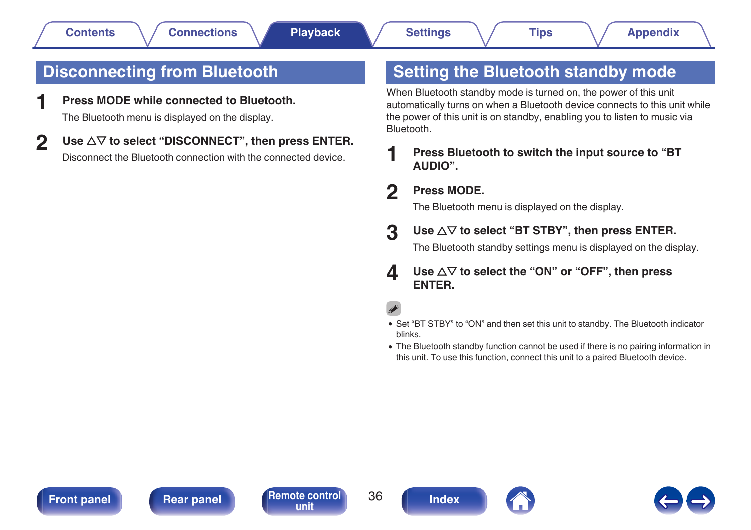# <span id="page-35-0"></span>**Disconnecting from Bluetooth**

**1 Press MODE while connected to Bluetooth.**

The Bluetooth menu is displayed on the display.

**2** Use  $\Delta \nabla$  to select "DISCONNECT", then press ENTER. Disconnect the Bluetooth connection with the connected device.

# **Setting the Bluetooth standby mode**

When Bluetooth standby mode is turned on, the power of this unit automatically turns on when a Bluetooth device connects to this unit while the power of this unit is on standby, enabling you to listen to music via Bluetooth.

**1 Press Bluetooth to switch the input source to "BT AUDIO".**

### **2 Press MODE.**

The Bluetooth menu is displayed on the display.

### **3** Use  $\Delta \nabla$  to select "BT STBY", then press ENTER.

The Bluetooth standby settings menu is displayed on the display.

**4 Use**  $\Delta \nabla$  to select the "ON" or "OFF", then press **ENTER.**

- Set "BT STBY" to "ON" and then set this unit to standby. The Bluetooth indicator blinks.
- The Bluetooth standby function cannot be used if there is no pairing information in this unit. To use this function, connect this unit to a paired Bluetooth device.

**[Front panel](#page-7-0) [Rear panel](#page-10-0) [Remote control](#page-12-0)** 36





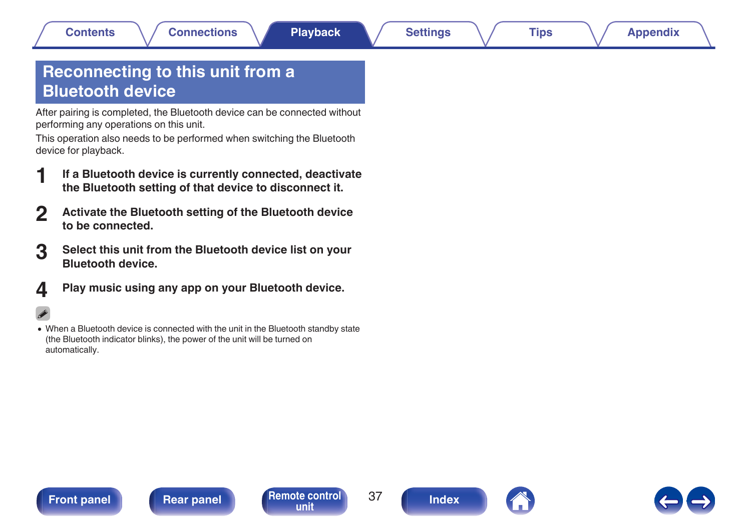# <span id="page-36-0"></span>**Reconnecting to this unit from a Bluetooth device**

After pairing is completed, the Bluetooth device can be connected without performing any operations on this unit.

This operation also needs to be performed when switching the Bluetooth device for playback.

- **1 If a Bluetooth device is currently connected, deactivate the Bluetooth setting of that device to disconnect it.**
- **2 Activate the Bluetooth setting of the Bluetooth device to be connected.**
- **3 Select this unit from the Bluetooth device list on your Bluetooth device.**
- **4 Play music using any app on your Bluetooth device.**

## $\overline{\rightarrow}$

0 When a Bluetooth device is connected with the unit in the Bluetooth standby state (the Bluetooth indicator blinks), the power of the unit will be turned on automatically.





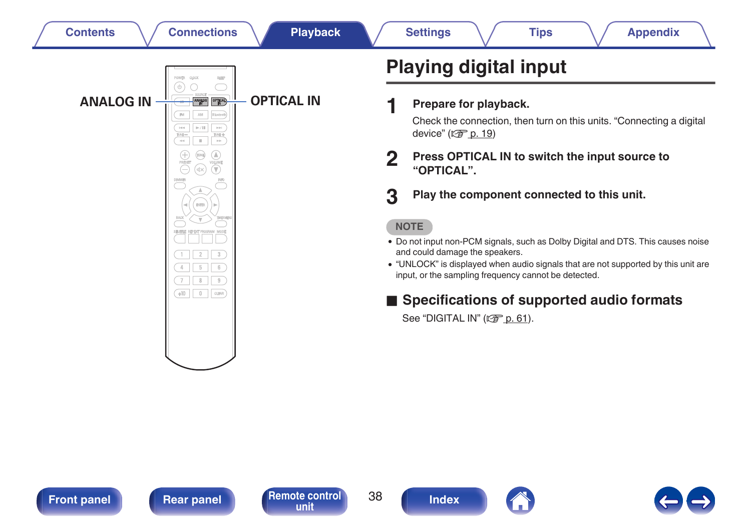<span id="page-37-0"></span>

**ANALOG IN <del>WE FIND</del> OPTICAL IN** 

 $\overline{2}$  $\sqrt{3}$ 

 $5$   $6$  $7$  8 9  $+10$  0  $\sqrt{C}$ 

 $\overline{4}$ 

 $_{\rm EM}$  $\lambda\mathrm{M}$  $\gg 7\,\mathrm{Hz}$ T.

# **Playing digital input**

**1 Prepare for playback.**

Check the connection, then turn on this units. ["Connecting a digital](#page-18-0) device"  $(\sqrt{p} \cdot p. 19)$ 

- **2 Press OPTICAL IN to switch the input source to "OPTICAL".**
- **3 Play the component connected to this unit.**

## **NOTE**

- 0 Do not input non-PCM signals, such as Dolby Digital and DTS. This causes noise and could damage the speakers.
- 0 "UNLOCK" is displayed when audio signals that are not supported by this unit are input, or the sampling frequency cannot be detected.

## ■ Specifications of supported audio formats

See ["DIGITAL IN" \(](#page-60-0) $\sqrt{\mathscr{D}}$  p. 61).



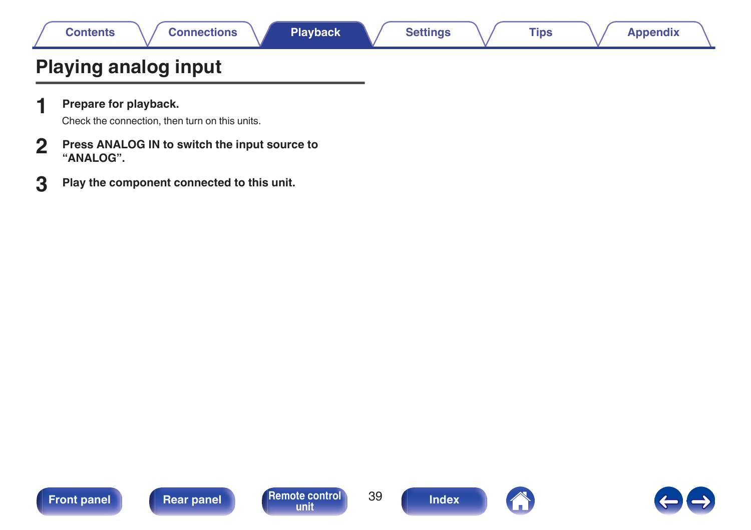# **Playing analog input**

**1 Prepare for playback.**

Check the connection, then turn on this units.

- **2 Press ANALOG IN to switch the input source to "ANALOG".**
- **3 Play the component connected to this unit.**







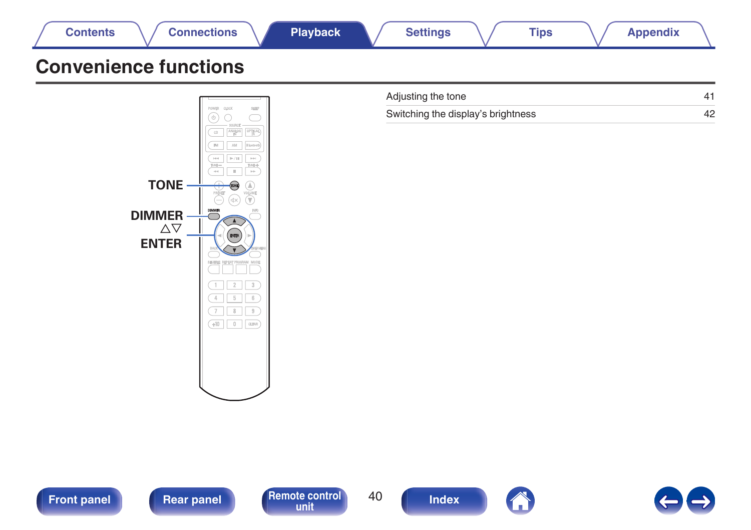





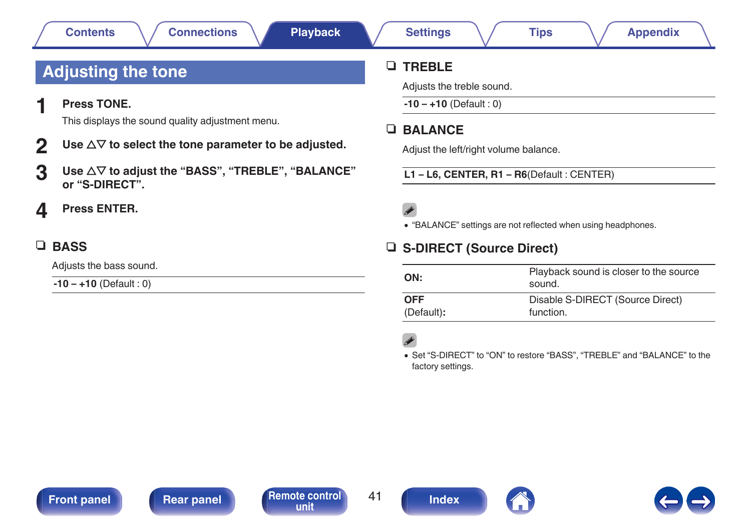# <span id="page-40-0"></span>**Adjusting the tone**

**1 Press TONE.**

This displays the sound quality adjustment menu.

- **2** Use  $\Delta \nabla$  to select the tone parameter to be adjusted.
- **3** Use  $\Delta \nabla$  to adjust the "BASS", "TREBLE", "BALANCE" **or "S-DIRECT".**
- **4 Press ENTER.**

## **u** BASS

Adjusts the bass sound.

**-10 – +10** (Default : 0)

## n **TREBLE**

Adjusts the treble sound.

**-10 – +10** (Default : 0)

## **D** BALANCE

Adjust the left/right volume balance.

**L1 – L6, CENTER, R1 – R6**(Default : CENTER)

# P

0 "BALANCE" settings are not reflected when using headphones.

## n **S-DIRECT (Source Direct)**

| ON:        | Playback sound is closer to the source<br>sound. |
|------------|--------------------------------------------------|
| <b>OFF</b> | Disable S-DIRECT (Source Direct)                 |
| (Default): | function.                                        |

0 Set "S-DIRECT" to "ON" to restore "BASS", "TREBLE" and "BALANCE" to the factory settings.

**[Front panel](#page-7-0) [Rear panel](#page-10-0) [Remote control](#page-12-0)** 41



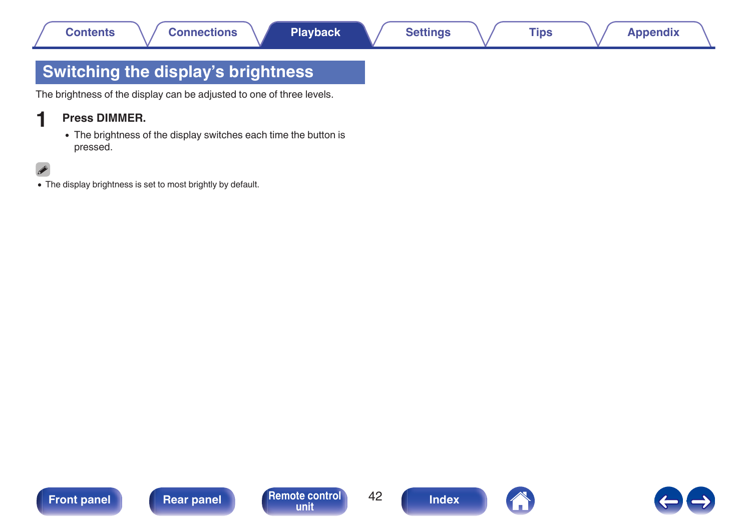# <span id="page-41-0"></span>**Switching the display's brightness**

The brightness of the display can be adjusted to one of three levels.

## **1 Press DIMMER.**

• The brightness of the display switches each time the button is pressed.

## $\overline{\mathscr{L}}$

• The display brightness is set to most brightly by default.







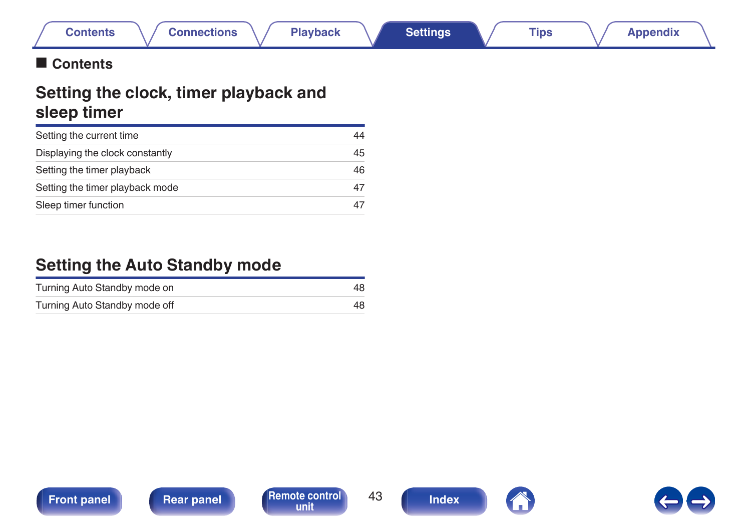## <span id="page-42-0"></span>■ Contents

# **Setting the clock, timer playback and sleep timer**

| Setting the current time        | 44 |
|---------------------------------|----|
| Displaying the clock constantly | 45 |
| Setting the timer playback      | 46 |
| Setting the timer playback mode | 47 |
| Sleep timer function            |    |

# **Setting the Auto Standby mode**

| Turning Auto Standby mode on  |  |
|-------------------------------|--|
| Turning Auto Standby mode off |  |







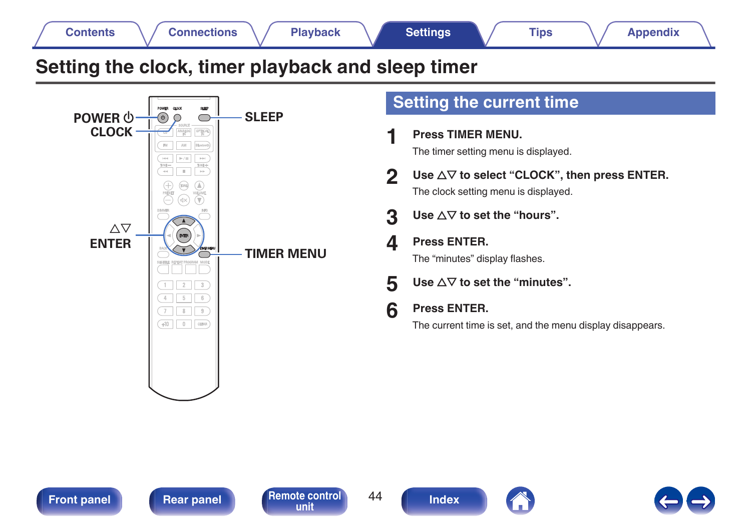# <span id="page-43-0"></span>**Setting the clock, timer playback and sleep timer**



# **Setting the current time**

- **1 Press TIMER MENU.** The timer setting menu is displayed.
- **2** Use  $\Delta \nabla$  to select "CLOCK", then press ENTER. The clock setting menu is displayed.
- **3** Use  $\Delta \nabla$  to set the "hours".
- **4 Press ENTER.** The "minutes" display flashes.
- **5** Use  $\Delta \nabla$  to set the "minutes".
- **6 Press ENTER.**

**[unit](#page-12-0) [Index](#page-70-0)**

The current time is set, and the menu display disappears.

**[Front panel](#page-7-0) [Rear panel](#page-10-0) [Remote control](#page-12-0)** 44



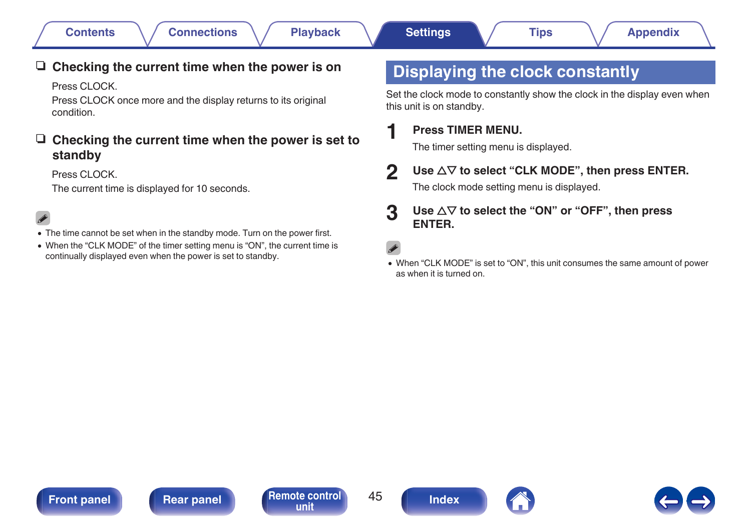## <span id="page-44-0"></span>□ Checking the current time when the power is on

Press CLOCK

Press CLOCK once more and the display returns to its original condition.

## □ Checking the current time when the power is set to **standby**

Press CLOCK

The current time is displayed for 10 seconds.

- The time cannot be set when in the standby mode. Turn on the power first.
- When the "CLK MODE" of the timer setting menu is "ON", the current time is continually displayed even when the power is set to standby.

# **Displaying the clock constantly**

Set the clock mode to constantly show the clock in the display even when this unit is on standby.

## **1 Press TIMER MENU.**

The timer setting menu is displayed.

## **2** Use  $\Delta \nabla$  to select "CLK MODE", then press ENTER.

The clock mode setting menu is displayed.

## **3** Use  $\Delta \nabla$  to select the "ON" or "OFF", then press **ENTER.**

0 When "CLK MODE" is set to "ON", this unit consumes the same amount of power as when it is turned on.

**[Front panel](#page-7-0) [Rear panel](#page-10-0) [Remote control](#page-12-0)** 45





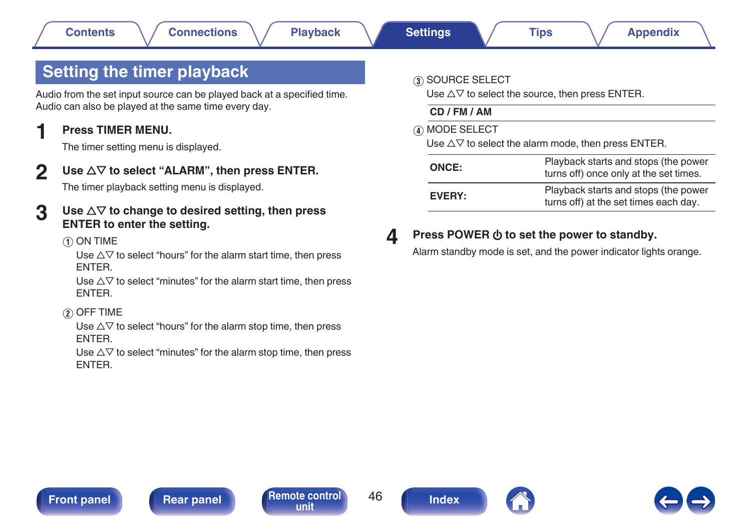# <span id="page-45-0"></span>**Setting the timer playback**

Audio from the set input source can be played back at a specified time. Audio can also be played at the same time every day.

## **1 Press TIMER MENU.**

The timer setting menu is displayed.

**2 Use**  $\Delta \nabla$  to select "ALARM", then press ENTER.

The timer playback setting menu is displayed.

- **3** Use  $\Delta \nabla$  to change to desired setting, then press **ENTER to enter the setting.**
	- A ON TIME

Use  $\Delta \nabla$  to select "hours" for the alarm start time, then press ENTER.

Use  $\Delta \nabla$  to select "minutes" for the alarm start time, then press ENTER.

 $(2)$  OFF TIME

Use  $\Delta \nabla$  to select "hours" for the alarm stop time, then press ENTER.

Use  $\Delta \nabla$  to select "minutes" for the alarm stop time, then press ENTER.

## **3 SOURCE SELECT**

Use  $\triangle \nabla$  to select the source, then press ENTER.

**CD / FM / AM**

(4) MODE SELECT

Use  $\Delta \nabla$  to select the alarm mode, then press ENTER.

| ONCE:  | Playback starts and stops (the power<br>turns off) once only at the set times. |
|--------|--------------------------------------------------------------------------------|
| EVERY: | Playback starts and stops (the power<br>turns off) at the set times each day.  |

## **4** Press POWER  $\phi$  to set the power to standby.

Alarm standby mode is set, and the power indicator lights orange.





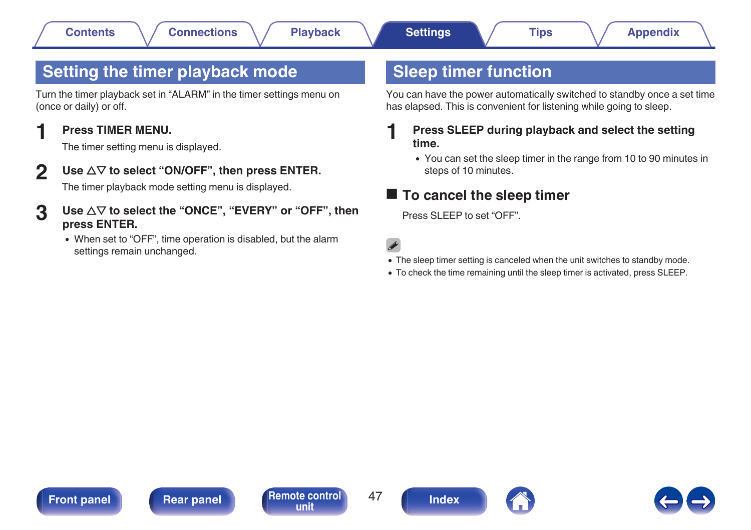# <span id="page-46-0"></span>**Setting the timer playback mode**

Turn the timer playback set in "ALARM" in the timer settings menu on (once or daily) or off.

## **1 Press TIMER MENU.**

The timer setting menu is displayed.

**2** Use  $\Delta \nabla$  to select "ON/OFF", then press ENTER.

The timer playback mode setting menu is displayed.

- **3** Use  $\Delta \nabla$  to select the "ONCE", "EVERY" or "OFF", then **press ENTER.**
	- When set to "OFF", time operation is disabled, but the alarm settings remain unchanged.

# **Sleep timer function**

You can have the power automatically switched to standby once a set time has elapsed. This is convenient for listening while going to sleep.

## **1 Press SLEEP during playback and select the setting time.**

• You can set the sleep timer in the range from 10 to 90 minutes in steps of 10 minutes.

## ■ To cancel the sleep timer

Press SLEEP to set "OFF".

 $\overline{\mathscr{L}}$ 

- The sleep timer setting is canceled when the unit switches to standby mode.
- 0 To check the time remaining until the sleep timer is activated, press SLEEP.

**[Front panel](#page-7-0) [Rear panel](#page-10-0) [Remote control](#page-12-0)** 47





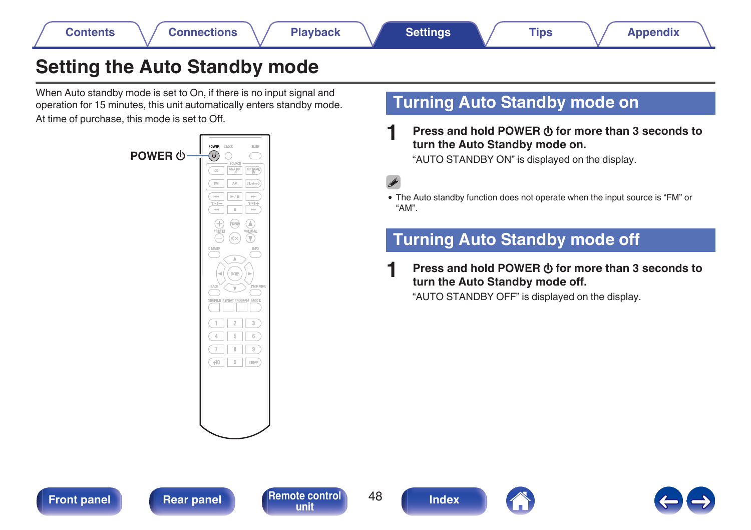# <span id="page-47-0"></span>**Setting the Auto Standby mode**

When Auto standby mode is set to On, if there is no input signal and operation for 15 minutes, this unit automatically enters standby mode. At time of purchase, this mode is set to Off.



# **Turning Auto Standby mode on**

**Press and hold POWER**  $\phi$  **for more than 3 seconds to turn the Auto Standby mode on.**

"AUTO STANDBY ON" is displayed on the display.

0 The Auto standby function does not operate when the input source is "FM" or "AM".

# **Turning Auto Standby mode off**

**Press and hold POWER**  $\phi$  **for more than 3 seconds to turn the Auto Standby mode off.**

"AUTO STANDBY OFF" is displayed on the display.







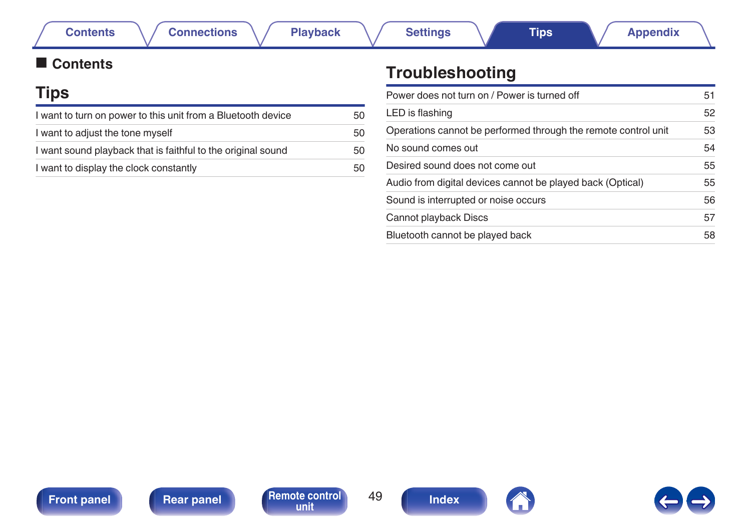## <span id="page-48-0"></span>■ Contents

# **Tips**

| I want to turn on power to this unit from a Bluetooth device | 50 |
|--------------------------------------------------------------|----|
| I want to adjust the tone myself                             | 50 |
| I want sound playback that is faithful to the original sound | 50 |
| I want to display the clock constantly                       | 50 |

# **Troubleshooting**

| Power does not turn on / Power is turned off                   | 51 |
|----------------------------------------------------------------|----|
| LED is flashing                                                | 52 |
| Operations cannot be performed through the remote control unit | 53 |
| No sound comes out                                             | 54 |
| Desired sound does not come out                                | 55 |
| Audio from digital devices cannot be played back (Optical)     | 55 |
| Sound is interrupted or noise occurs                           | 56 |
| Cannot playback Discs                                          | 57 |
| Bluetooth cannot be played back                                | 58 |



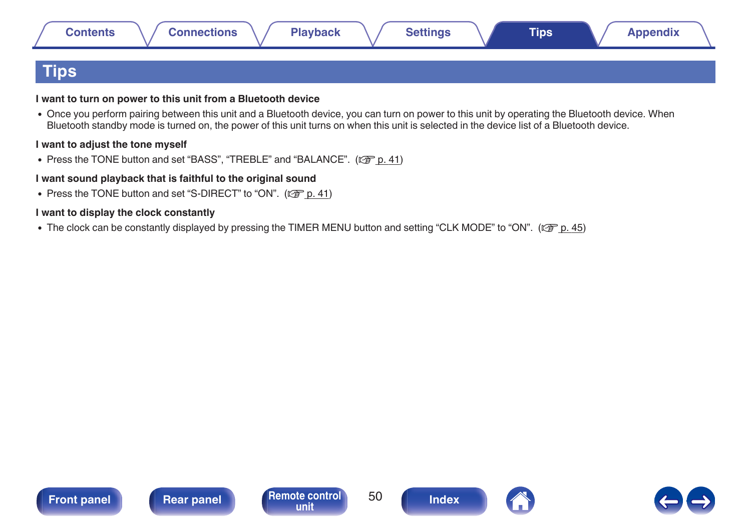<span id="page-49-0"></span>

| <b>Contents</b> | <b>Connections</b> | <b>Playback</b> | <b>Settings</b> | Tips | <b>Appendix</b> |
|-----------------|--------------------|-----------------|-----------------|------|-----------------|
| $ {\sf Tips} $  |                    |                 |                 |      |                 |

### **I want to turn on power to this unit from a Bluetooth device**

• Once you perform pairing between this unit and a Bluetooth device, you can turn on power to this unit by operating the Bluetooth device. When Bluetooth standby mode is turned on, the power of this unit turns on when this unit is selected in the device list of a Bluetooth device.

#### **I want to adjust the tone myself**

• Press the TONE button and set "BASS", "TREBLE" and "BALANCE". ( $\sqrt{p}$  [p. 41\)](#page-40-0)

#### **I want sound playback that is faithful to the original sound**

• Press the TONE button and set "S-DIRECT" to "ON".  $(\sqrt[p]{P} p. 41)$  $(\sqrt[p]{P} p. 41)$ 

### **I want to display the clock constantly**

• The clock can be constantly displayed by pressing the TIMER MENU button and setting "CLK MODE" to "ON". ( $\mathbb{Z}$  [p. 45\)](#page-44-0)





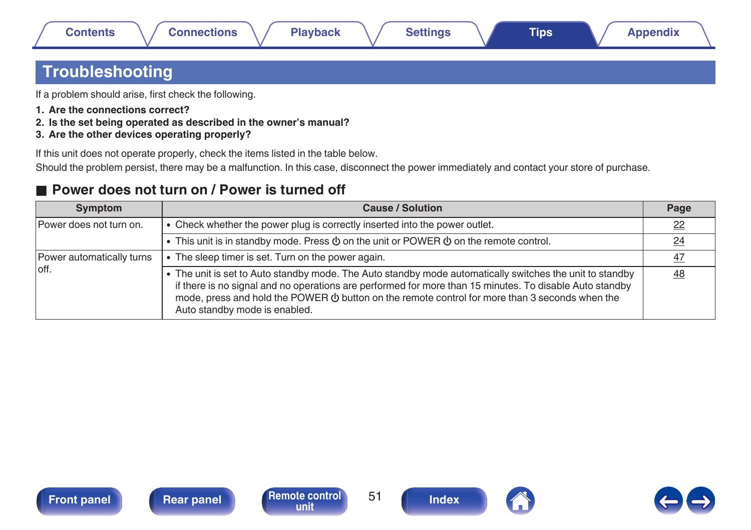# <span id="page-50-0"></span>**Troubleshooting**

If a problem should arise, first check the following.

- **1. Are the connections correct?**
- **2. Is the set being operated as described in the owner's manual?**
- **3. Are the other devices operating properly?**

If this unit does not operate properly, check the items listed in the table below.

Should the problem persist, there may be a malfunction. In this case, disconnect the power immediately and contact your store of purchase.

## ■ Power does not turn on / Power is turned off

| <b>Symptom</b>            | <b>Cause / Solution</b>                                                                                                                                                                                                                                                                                                                                     | Page      |
|---------------------------|-------------------------------------------------------------------------------------------------------------------------------------------------------------------------------------------------------------------------------------------------------------------------------------------------------------------------------------------------------------|-----------|
| Power does not turn on.   | • Check whether the power plug is correctly inserted into the power outlet.                                                                                                                                                                                                                                                                                 | $_{22}$   |
|                           | • This unit is in standby mode. Press $\Phi$ on the unit or POWER $\Phi$ on the remote control.                                                                                                                                                                                                                                                             | <u>24</u> |
| Power automatically turns | The sleep timer is set. Turn on the power again.                                                                                                                                                                                                                                                                                                            | 47        |
| loff.                     | • The unit is set to Auto standby mode. The Auto standby mode automatically switches the unit to standby<br>if there is no signal and no operations are performed for more than 15 minutes. To disable Auto standby<br>mode, press and hold the POWER $\Phi$ button on the remote control for more than 3 seconds when the<br>Auto standby mode is enabled. | 48        |





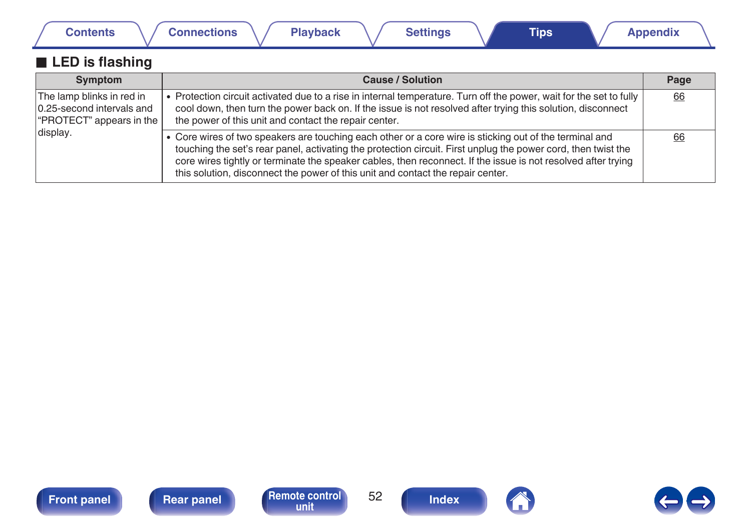<span id="page-51-0"></span>

| <b>Contents</b>                                                                    | <b>Connections</b><br><b>Playback</b><br><b>Settings</b><br><b>Tips</b>                                                                                                                                                                                                                                                                                                                                                      | <b>Appendix</b> |
|------------------------------------------------------------------------------------|------------------------------------------------------------------------------------------------------------------------------------------------------------------------------------------------------------------------------------------------------------------------------------------------------------------------------------------------------------------------------------------------------------------------------|-----------------|
| <b>LED</b> is flashing                                                             |                                                                                                                                                                                                                                                                                                                                                                                                                              |                 |
| Symptom                                                                            | <b>Cause / Solution</b>                                                                                                                                                                                                                                                                                                                                                                                                      | Page            |
| The lamp blinks in red in<br>0.25-second intervals and<br>"PROTECT" appears in the | • Protection circuit activated due to a rise in internal temperature. Turn off the power, wait for the set to fully<br>cool down, then turn the power back on. If the issue is not resolved after trying this solution, disconnect<br>the power of this unit and contact the repair center.                                                                                                                                  | 66              |
| display.                                                                           | • Core wires of two speakers are touching each other or a core wire is sticking out of the terminal and<br>touching the set's rear panel, activating the protection circuit. First unplug the power cord, then twist the<br>core wires tightly or terminate the speaker cables, then reconnect. If the issue is not resolved after trying<br>this solution, disconnect the power of this unit and contact the repair center. | 66              |







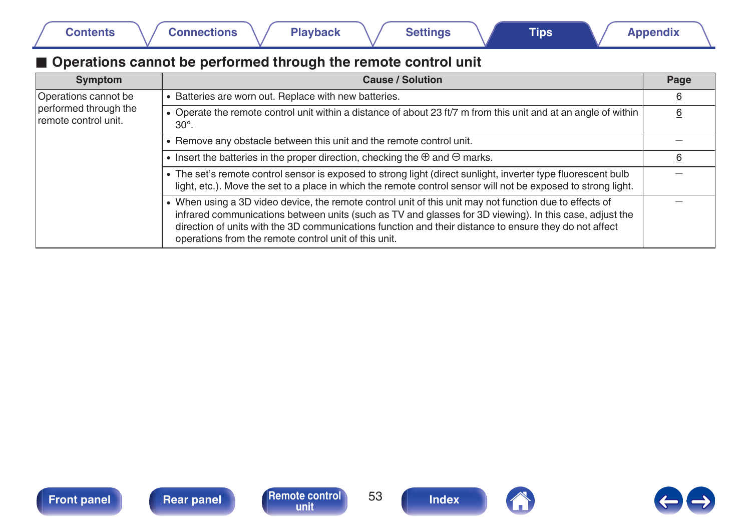## <span id="page-52-0"></span>■ Operations cannot be performed through the remote control unit

| Symptom                                       | <b>Cause / Solution</b>                                                                                                                                                                                                                                                                                                                                                               | Page |
|-----------------------------------------------|---------------------------------------------------------------------------------------------------------------------------------------------------------------------------------------------------------------------------------------------------------------------------------------------------------------------------------------------------------------------------------------|------|
| Operations cannot be                          | • Batteries are worn out. Replace with new batteries.                                                                                                                                                                                                                                                                                                                                 | 6    |
| performed through the<br>remote control unit. | • Operate the remote control unit within a distance of about 23 ft/7 m from this unit and at an angle of within<br>$30^\circ$ .                                                                                                                                                                                                                                                       | 6    |
|                                               | • Remove any obstacle between this unit and the remote control unit.                                                                                                                                                                                                                                                                                                                  |      |
|                                               | • Insert the batteries in the proper direction, checking the $\oplus$ and $\ominus$ marks.                                                                                                                                                                                                                                                                                            | 6    |
|                                               | • The set's remote control sensor is exposed to strong light (direct sunlight, inverter type fluorescent bulb<br>light, etc.). Move the set to a place in which the remote control sensor will not be exposed to strong light.                                                                                                                                                        |      |
|                                               | • When using a 3D video device, the remote control unit of this unit may not function due to effects of<br>infrared communications between units (such as TV and glasses for 3D viewing). In this case, adjust the<br>direction of units with the 3D communications function and their distance to ensure they do not affect<br>operations from the remote control unit of this unit. |      |



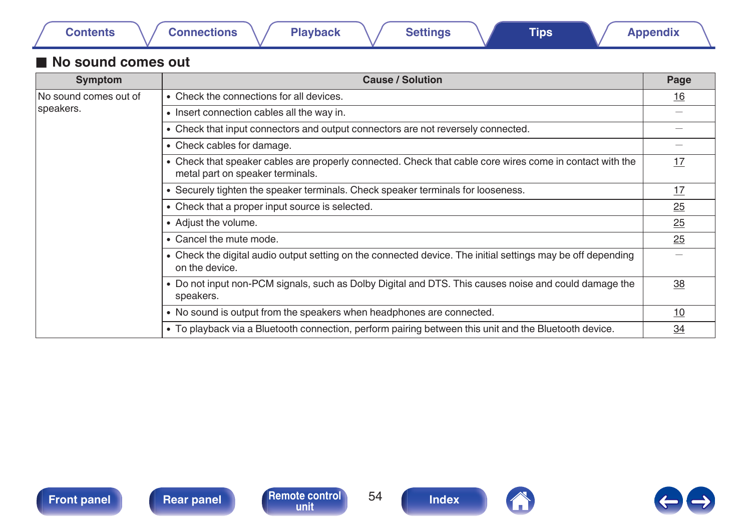| ontents |
|---------|
|---------|

## <span id="page-53-0"></span>■ No sound comes out

| Symptom               | <b>Cause / Solution</b>                                                                                                                      | Page      |
|-----------------------|----------------------------------------------------------------------------------------------------------------------------------------------|-----------|
| No sound comes out of | • Check the connections for all devices.                                                                                                     | <u>16</u> |
| speakers.             | • Insert connection cables all the way in.                                                                                                   |           |
|                       | • Check that input connectors and output connectors are not reversely connected.                                                             |           |
|                       | • Check cables for damage.                                                                                                                   |           |
|                       | • Check that speaker cables are properly connected. Check that cable core wires come in contact with the<br>metal part on speaker terminals. | 17        |
|                       | Securely tighten the speaker terminals. Check speaker terminals for looseness.                                                               | 17        |
|                       | • Check that a proper input source is selected.                                                                                              | 25        |
|                       | • Adjust the volume.                                                                                                                         | 25        |
|                       | • Cancel the mute mode.                                                                                                                      | 25        |
|                       | • Check the digital audio output setting on the connected device. The initial settings may be off depending<br>on the device.                |           |
|                       | • Do not input non-PCM signals, such as Dolby Digital and DTS. This causes noise and could damage the<br>speakers.                           | 38        |
|                       | • No sound is output from the speakers when headphones are connected.                                                                        |           |
|                       | • To playback via a Bluetooth connection, perform pairing between this unit and the Bluetooth device.                                        | 34        |





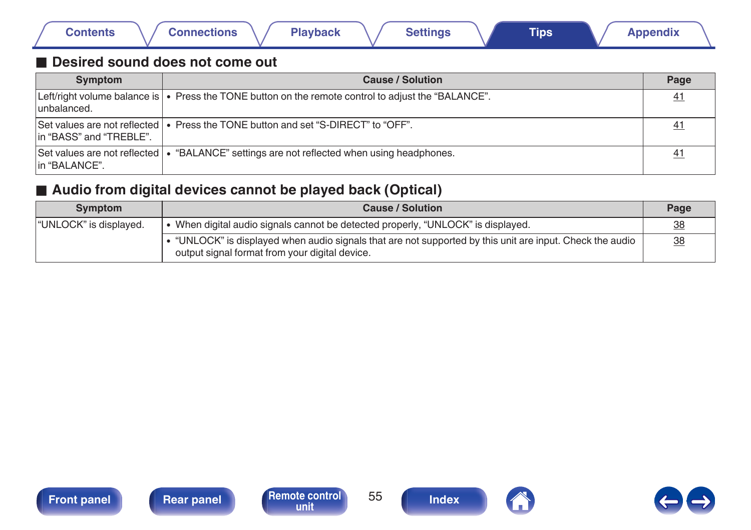<span id="page-54-0"></span>

|  | Contents | <b>Connections</b> |  | <b>Playback</b> |  | <b>Settings</b> |  | Tips |  | <b>Appendix</b> |  |
|--|----------|--------------------|--|-----------------|--|-----------------|--|------|--|-----------------|--|
|--|----------|--------------------|--|-----------------|--|-----------------|--|------|--|-----------------|--|

## ■ Desired sound does not come out

| Symptom                 | <b>Cause / Solution</b>                                                                                   | Page            |
|-------------------------|-----------------------------------------------------------------------------------------------------------|-----------------|
| unbalanced.             | Left/right volume balance is $\cdot$ Press the TONE button on the remote control to adjust the "BALANCE". | 41              |
| In "BASS" and "TREBLE". | Set values are not reflected $\cdot$ Press the TONE button and set "S-DIRECT" to "OFF".                   | <u>41</u>       |
| lin "BALANCE".          | Set values are not reflected   • "BALANCE" settings are not reflected when using headphones.              | $\overline{41}$ |

## ■ Audio from digital devices cannot be played back (Optical)

| Symptom                | <b>Cause / Solution</b>                                                                                                                                   | Page |
|------------------------|-----------------------------------------------------------------------------------------------------------------------------------------------------------|------|
| "UNLOCK" is displayed. | When digital audio signals cannot be detected properly, "UNLOCK" is displayed.                                                                            | 38   |
|                        | "UNLOCK" is displayed when audio signals that are not supported by this unit are input. Check the audio<br>output signal format from your digital device. | 38   |







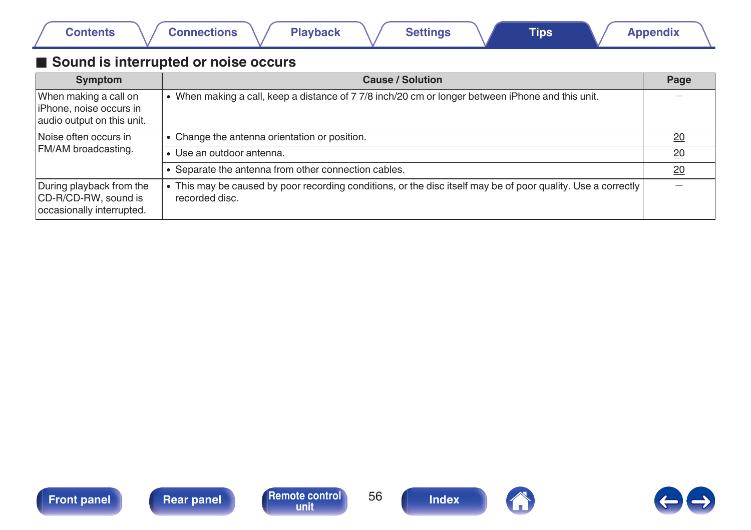<span id="page-55-0"></span>

|  | Contents |  | <b>Connections</b> |  | <b>Playback</b> |  | <b>Settings</b> |  | <b>Tips</b> |  | <b>Appendix</b> |  |
|--|----------|--|--------------------|--|-----------------|--|-----------------|--|-------------|--|-----------------|--|
|--|----------|--|--------------------|--|-----------------|--|-----------------|--|-------------|--|-----------------|--|

## ■ Sound is interrupted or noise occurs

| <b>Symptom</b>                                                                  | <b>Cause / Solution</b>                                                                                                         | Page |
|---------------------------------------------------------------------------------|---------------------------------------------------------------------------------------------------------------------------------|------|
| When making a call on<br>liPhone, noise occurs in<br>audio output on this unit. | • When making a call, keep a distance of 7 7/8 inch/20 cm or longer between iPhone and this unit.                               |      |
| Noise often occurs in                                                           | • Change the antenna orientation or position.                                                                                   | 20   |
| FM/AM broadcasting.                                                             | · Use an outdoor antenna.                                                                                                       | 20   |
|                                                                                 | • Separate the antenna from other connection cables.                                                                            | 20   |
| During playback from the<br>CD-R/CD-RW, sound is<br>occasionally interrupted.   | • This may be caused by poor recording conditions, or the disc itself may be of poor quality. Use a correctly<br>recorded disc. |      |





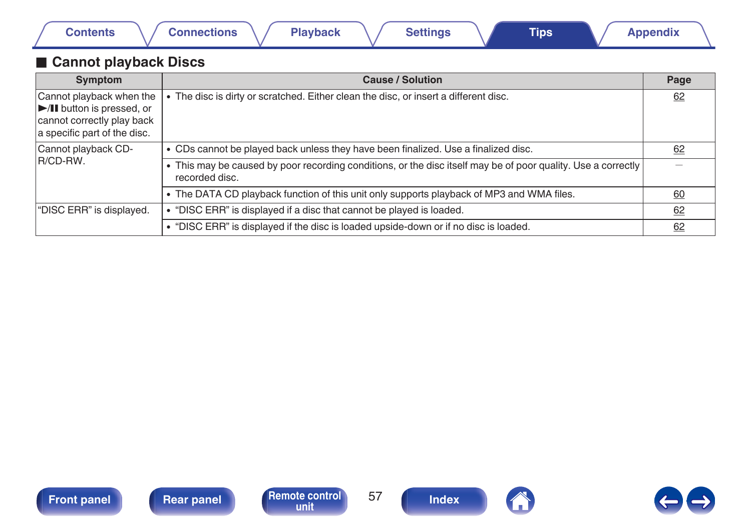<span id="page-56-0"></span>

|  | Contents | <b>Connections</b> | Playback | <b>Settings</b> | <b>Tips</b> | <b>Appendix</b> |  |
|--|----------|--------------------|----------|-----------------|-------------|-----------------|--|
|--|----------|--------------------|----------|-----------------|-------------|-----------------|--|

## **Cannot playback Discs**

| Symptom                                                                                                                                   | <b>Cause / Solution</b>                                                                                                         | Page |
|-------------------------------------------------------------------------------------------------------------------------------------------|---------------------------------------------------------------------------------------------------------------------------------|------|
| Cannot playback when the<br>$\blacktriangleright$ /II button is pressed, or<br>cannot correctly play back<br>a specific part of the disc. | The disc is dirty or scratched. Either clean the disc, or insert a different disc.                                              | 62   |
| Cannot playback CD-                                                                                                                       | . CDs cannot be played back unless they have been finalized. Use a finalized disc.                                              | 62   |
| IR/CD-RW.                                                                                                                                 | • This may be caused by poor recording conditions, or the disc itself may be of poor quality. Use a correctly<br>recorded disc. |      |
|                                                                                                                                           | • The DATA CD playback function of this unit only supports playback of MP3 and WMA files.                                       | 60   |
| "DISC ERR" is displayed.                                                                                                                  | • "DISC ERR" is displayed if a disc that cannot be played is loaded.                                                            | 62   |
|                                                                                                                                           | • "DISC ERR" is displayed if the disc is loaded upside-down or if no disc is loaded.                                            | 62   |







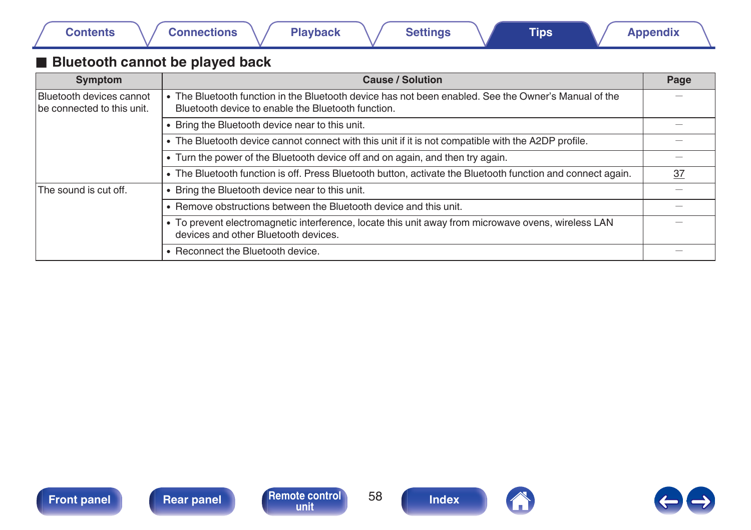## <span id="page-57-0"></span>**Bluetooth cannot be played back**

| Symptom                                                | <b>Cause / Solution</b>                                                                                                                                    | Page |
|--------------------------------------------------------|------------------------------------------------------------------------------------------------------------------------------------------------------------|------|
| Bluetooth devices cannot<br>be connected to this unit. | • The Bluetooth function in the Bluetooth device has not been enabled. See the Owner's Manual of the<br>Bluetooth device to enable the Bluetooth function. |      |
|                                                        | • Bring the Bluetooth device near to this unit.                                                                                                            |      |
|                                                        | • The Bluetooth device cannot connect with this unit if it is not compatible with the A2DP profile.                                                        |      |
|                                                        | • Turn the power of the Bluetooth device off and on again, and then try again.                                                                             |      |
|                                                        | • The Bluetooth function is off. Press Bluetooth button, activate the Bluetooth function and connect again.                                                | 37   |
| The sound is cut off.                                  | • Bring the Bluetooth device near to this unit.                                                                                                            |      |
|                                                        | • Remove obstructions between the Bluetooth device and this unit.                                                                                          |      |
|                                                        | . To prevent electromagnetic interference, locate this unit away from microwave ovens, wireless LAN<br>devices and other Bluetooth devices.                |      |
|                                                        | • Reconnect the Bluetooth device.                                                                                                                          |      |



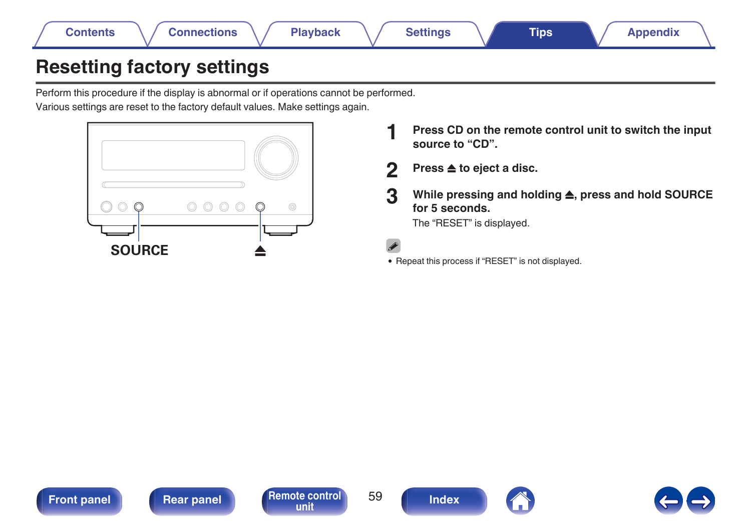<span id="page-58-0"></span>

# **Resetting factory settings**

Perform this procedure if the display is abnormal or if operations cannot be performed. Various settings are reset to the factory default values. Make settings again.



- **1 Press CD on the remote control unit to switch the input source to "CD".**
- **2 Press ▲ to eject a disc.**
- **3 While pressing and holding** 5**, press and hold SOURCE for 5 seconds.** The "RESET" is displayed.
- 
- 0 Repeat this process if "RESET" is not displayed.





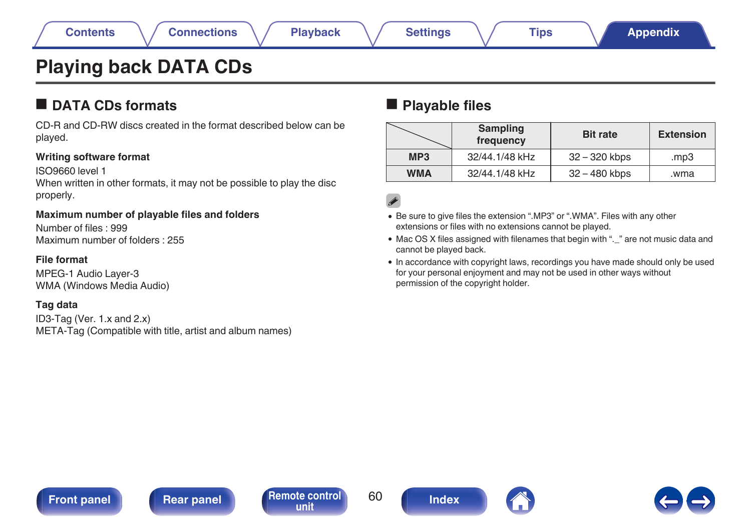# <span id="page-59-0"></span>**Playing back DATA CDs**

## **DATA CDs formats**

CD-R and CD-RW discs created in the format described below can be played.

### **Writing software format**

ISO9660 level 1

When written in other formats, it may not be possible to play the disc properly.

### **Maximum number of playable files and folders**

Number of files : 999 Maximum number of folders : 255

### **File format**

MPEG-1 Audio Layer-3 WMA (Windows Media Audio)

## **Tag data**

ID3-Tag (Ver. 1.x and 2.x) META-Tag (Compatible with title, artist and album names)

## **Playable files**

|                 | Sampling<br>frequency | <b>Bit rate</b> | <b>Extension</b> |
|-----------------|-----------------------|-----------------|------------------|
| MP <sub>3</sub> | 32/44.1/48 kHz        | 32 – 320 kbps   | mp3              |
| <b>WMA</b>      | 32/44.1/48 kHz        | 32 - 480 kbps   | wma.             |

- 0 Be sure to give files the extension ".MP3" or ".WMA". Files with any other extensions or files with no extensions cannot be played.
- Mac OS X files assigned with filenames that begin with ".\_" are not music data and cannot be played back.
- In accordance with copyright laws, recordings you have made should only be used for your personal enjoyment and may not be used in other ways without permission of the copyright holder.

**[Front panel](#page-7-0) [Rear panel](#page-10-0) [Remote control](#page-12-0)** 60





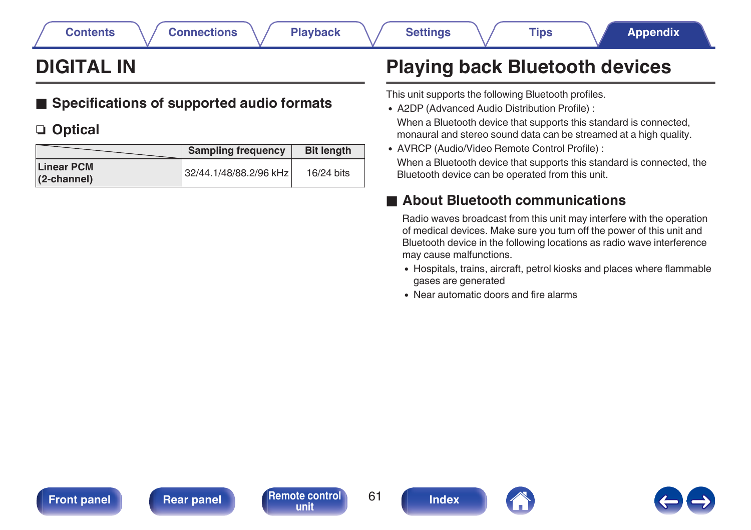# <span id="page-60-0"></span>**DIGITAL IN**

# ■ Specifications of supported audio formats

# n **Optical**

|                                        | <b>Sampling frequency</b> | <b>Bit length</b> |
|----------------------------------------|---------------------------|-------------------|
| <b>Linear PCM</b><br>$(2$ -channel $)$ | 32/44.1/48/88.2/96 kHz    | 16/24 bits        |

# **Playing back Bluetooth devices**

This unit supports the following Bluetooth profiles.

• A2DP (Advanced Audio Distribution Profile) :

When a Bluetooth device that supports this standard is connected, monaural and stereo sound data can be streamed at a high quality.

0 AVRCP (Audio/Video Remote Control Profile) : When a Bluetooth device that supports this standard is connected, the Bluetooth device can be operated from this unit.

# **About Bluetooth communications**

Radio waves broadcast from this unit may interfere with the operation of medical devices. Make sure you turn off the power of this unit and Bluetooth device in the following locations as radio wave interference may cause malfunctions.

- 0 Hospitals, trains, aircraft, petrol kiosks and places where flammable gases are generated
- 0 Near automatic doors and fire alarms



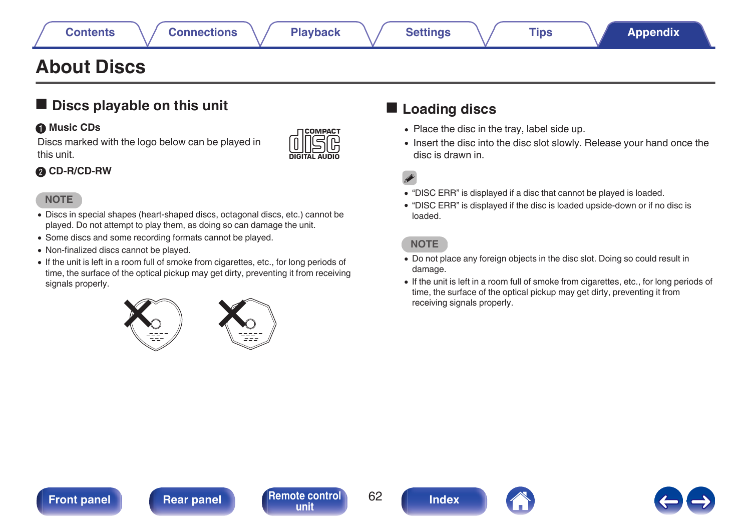# <span id="page-61-0"></span>**About Discs**

## $\blacksquare$  Discs playable on this unit

## A **Music CDs**

Discs marked with the logo below can be played in this unit.



## B **CD-R/CD-RW**

## **NOTE**

- 0 Discs in special shapes (heart-shaped discs, octagonal discs, etc.) cannot be played. Do not attempt to play them, as doing so can damage the unit.
- 0 Some discs and some recording formats cannot be played.
- 0 Non-finalized discs cannot be played.
- If the unit is left in a room full of smoke from cigarettes, etc., for long periods of time, the surface of the optical pickup may get dirty, preventing it from receiving signals properly.



## ■ Loading discs

- Place the disc in the tray, label side up.
- Insert the disc into the disc slot slowly. Release your hand once the disc is drawn in.

 $\overline{\mathcal{L}}$ 

- 0 "DISC ERR" is displayed if a disc that cannot be played is loaded.
- 0 "DISC ERR" is displayed if the disc is loaded upside-down or if no disc is loaded.

## **NOTE**

- 0 Do not place any foreign objects in the disc slot. Doing so could result in damage.
- 0 If the unit is left in a room full of smoke from cigarettes, etc., for long periods of time, the surface of the optical pickup may get dirty, preventing it from receiving signals properly.





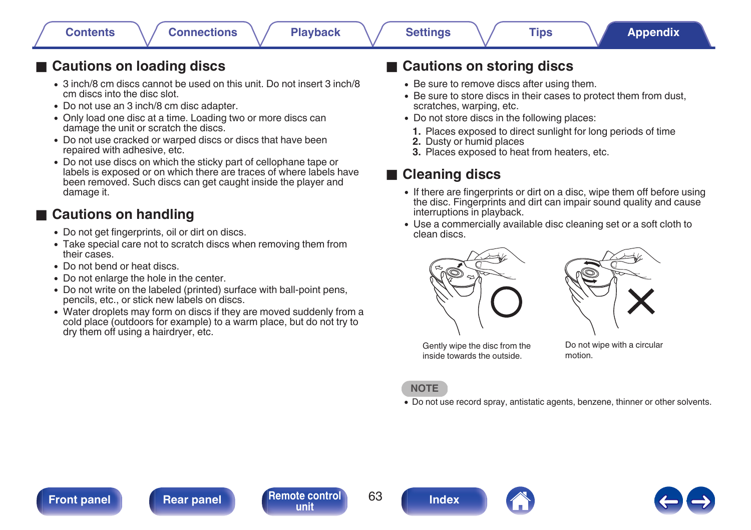## **■ Cautions on loading discs**

- 0 3 inch/8 cm discs cannot be used on this unit. Do not insert 3 inch/8 cm discs into the disc slot.
- Do not use an 3 inch/8 cm disc adapter.
- Only load one disc at a time. Loading two or more discs can damage the unit or scratch the discs.
- Do not use cracked or warped discs or discs that have been repaired with adhesive, etc.
- 0 Do not use discs on which the sticky part of cellophane tape or labels is exposed or on which there are traces of where labels have been removed. Such discs can get caught inside the player and damage it.

## **■ Cautions on handling**

- Do not get fingerprints, oil or dirt on discs.
- Take special care not to scratch discs when removing them from their cases.
- Do not bend or heat discs.
- Do not enlarge the hole in the center.
- Do not write on the labeled (printed) surface with ball-point pens, pencils, etc., or stick new labels on discs.
- Water droplets may form on discs if they are moved suddenly from a cold place (outdoors for example) to a warm place, but do not try to dry them off using a hairdryer, etc.

## **■ Cautions on storing discs**

- Be sure to remove discs after using them.
- Be sure to store discs in their cases to protect them from dust, scratches, warping, etc.
- Do not store discs in the following places:
	- **1.** Places exposed to direct sunlight for long periods of time
	- **2.** Dusty or humid places
- **3.** Places exposed to heat from heaters, etc.

## o **Cleaning discs**

- If there are fingerprints or dirt on a disc, wipe them off before using the disc. Fingerprints and dirt can impair sound quality and cause interruptions in playback.
- Use a commercially available disc cleaning set or a soft cloth to clean discs.





Gently wipe the disc from the inside towards the outside.

Do not wipe with a circular motion.

### **NOTE**

• Do not use record spray, antistatic agents, benzene, thinner or other solvents.

**[Front panel](#page-7-0) [Rear panel](#page-10-0) [Remote control](#page-12-0)** 63 **[unit](#page-12-0) [Index](#page-70-0)**





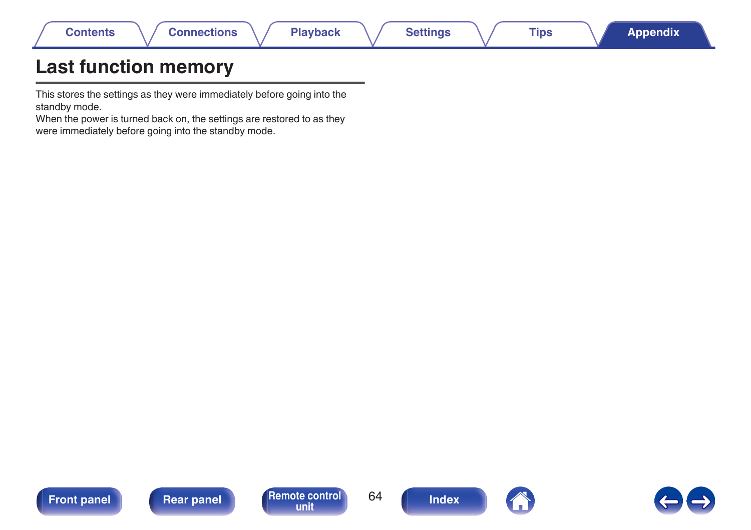| Contents | Playback | <b>Settings</b> | <b>Tips</b> | Appendix <b>\</b> |
|----------|----------|-----------------|-------------|-------------------|
| ___      |          |                 |             |                   |

# **Last function memory**

This stores the settings as they were immediately before going into the standby mode.

When the power is turned back on, the settings are restored to as they were immediately before going into the standby mode.







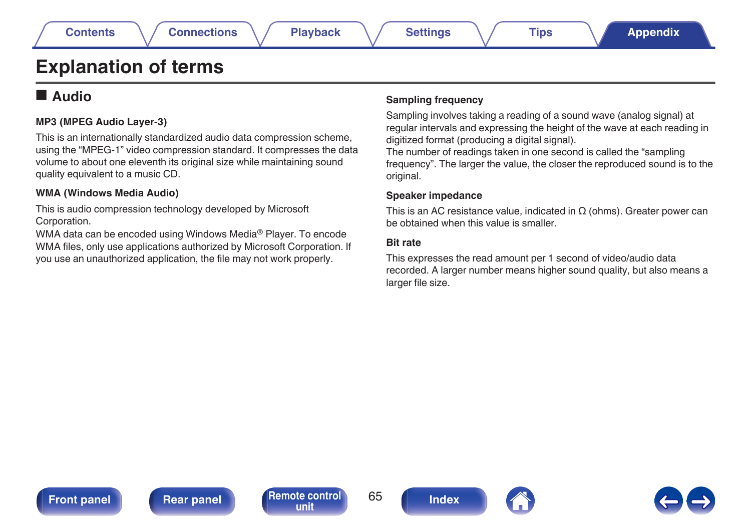# **Explanation of terms**

## o **Audio**

## **MP3 (MPEG Audio Layer-3)**

This is an internationally standardized audio data compression scheme, using the "MPEG-1" video compression standard. It compresses the data volume to about one eleventh its original size while maintaining sound quality equivalent to a music CD.

### **WMA (Windows Media Audio)**

This is audio compression technology developed by Microsoft Corporation.

WMA data can be encoded using Windows Media® Player. To encode WMA files, only use applications authorized by Microsoft Corporation. If you use an unauthorized application, the file may not work properly.

### **Sampling frequency**

Sampling involves taking a reading of a sound wave (analog signal) at regular intervals and expressing the height of the wave at each reading in digitized format (producing a digital signal).

The number of readings taken in one second is called the "sampling frequency". The larger the value, the closer the reproduced sound is to the original.

### **Speaker impedance**

This is an AC resistance value, indicated in  $\Omega$  (ohms). Greater power can be obtained when this value is smaller.

### **Bit rate**

This expresses the read amount per 1 second of video/audio data recorded. A larger number means higher sound quality, but also means a larger file size.





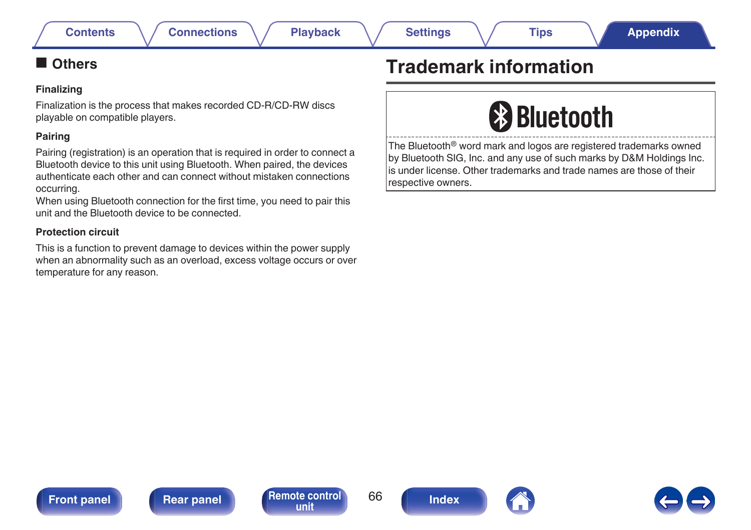## <span id="page-65-0"></span>**N** Others

### **Finalizing**

Finalization is the process that makes recorded CD-R/CD-RW discs playable on compatible players.

### **Pairing**

Pairing (registration) is an operation that is required in order to connect a Bluetooth device to this unit using Bluetooth. When paired, the devices authenticate each other and can connect without mistaken connections occurring.

When using Bluetooth connection for the first time, you need to pair this unit and the Bluetooth device to be connected.

## **Protection circuit**

This is a function to prevent damage to devices within the power supply when an abnormality such as an overload, excess voltage occurs or over temperature for any reason.

# **Trademark information**



The Bluetooth® word mark and logos are registered trademarks owned by Bluetooth SIG, Inc. and any use of such marks by D&M Holdings Inc. is under license. Other trademarks and trade names are those of their respective owners.



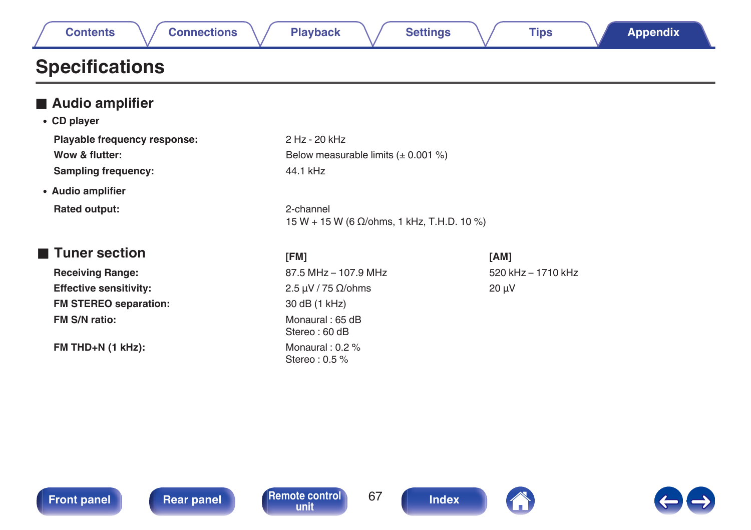| <b>Connections</b> | <b>Playback</b> | <b>Appendix</b> |
|--------------------|-----------------|-----------------|
| Contents           | <b>Settings</b> | Tips            |

# **Specifications**

| Audio amplifier               |                                                         |                    |
|-------------------------------|---------------------------------------------------------|--------------------|
| • CD player                   |                                                         |                    |
| Playable frequency response:  | 2 Hz - 20 kHz                                           |                    |
| Wow & flutter:                | Below measurable limits $(\pm 0.001\%)$                 |                    |
| <b>Sampling frequency:</b>    | 44.1 kHz                                                |                    |
| • Audio amplifier             |                                                         |                    |
| Rated output:                 | 2-channel<br>15 W + 15 W (6 Ω/ohms, 1 kHz, T.H.D. 10 %) |                    |
| ■ Tuner section               | [FM]                                                    | [AM]               |
| <b>Receiving Range:</b>       | 87.5 MHz - 107.9 MHz                                    | 520 kHz - 1710 kHz |
| <b>Effective sensitivity:</b> | 2.5 $\mu$ V / 75 $\Omega$ /ohms                         | $20 \mu V$         |
| <b>FM STEREO separation:</b>  | 30 dB (1 kHz)                                           |                    |
| <b>FM S/N ratio:</b>          | Monaural: 65 dB<br>Stereo: 60 dB                        |                    |
| $FM THD+N (1 kHz):$           | Monaural: $0.2\%$<br>Stereo: 0.5 %                      |                    |





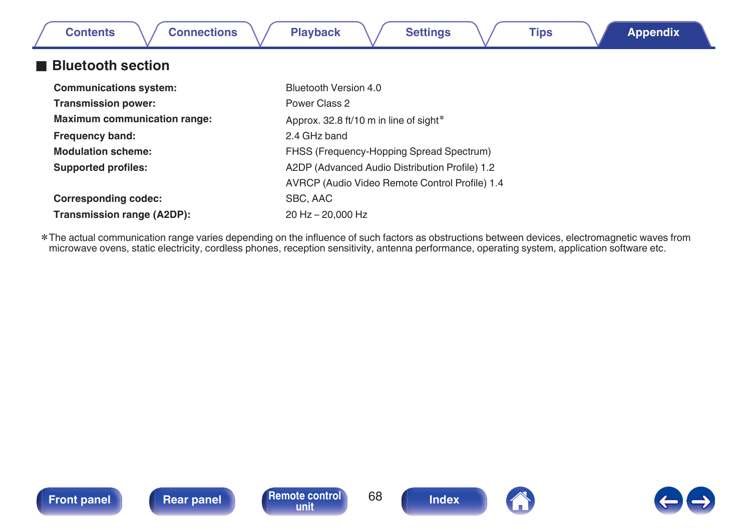| <b>Connections</b><br><b>Contents</b> | <b>Playback</b><br><b>Tips</b><br><b>Settings</b><br><b>Appendix</b> |
|---------------------------------------|----------------------------------------------------------------------|
| <b>Bluetooth section</b>              |                                                                      |
| <b>Communications system:</b>         | Bluetooth Version 4.0                                                |
| <b>Transmission power:</b>            | Power Class 2                                                        |
| <b>Maximum communication range:</b>   | Approx. 32.8 ft/10 m in line of sight*                               |
| <b>Frequency band:</b>                | 2.4 GHz band                                                         |
| <b>Modulation scheme:</b>             | FHSS (Frequency-Hopping Spread Spectrum)                             |
| <b>Supported profiles:</b>            | A2DP (Advanced Audio Distribution Profile) 1.2                       |
|                                       | AVRCP (Audio Video Remote Control Profile) 1.4                       |
| <b>Corresponding codec:</b>           | SBC, AAC                                                             |
| Transmission range (A2DP):            | 20 Hz - 20,000 Hz                                                    |

The actual communication range varies depending on the influence of such factors as obstructions between devices, electromagnetic waves from\*\*\* The actual communication range varies depending on the influence of such facto







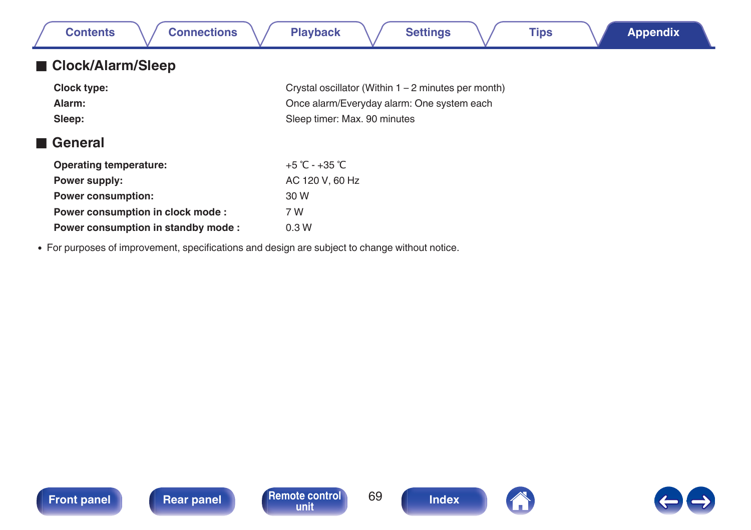| <b>Connections</b><br><b>Contents</b> | <b>Playback</b><br><b>Settings</b><br><b>Tips</b><br><b>Appendix</b> |
|---------------------------------------|----------------------------------------------------------------------|
| ■ Clock/Alarm/Sleep                   |                                                                      |
| Clock type:                           | Crystal oscillator (Within 1 – 2 minutes per month)                  |
| Alarm:                                | Once alarm/Everyday alarm: One system each                           |
| Sleep:                                | Sleep timer: Max. 90 minutes                                         |
| General                               |                                                                      |
| <b>Operating temperature:</b>         | +5 °C - +35 °C                                                       |
| Power supply:                         | AC 120 V, 60 Hz                                                      |
| <b>Power consumption:</b>             | 30 W                                                                 |
| Power consumption in clock mode:      | 7 W                                                                  |
| Power consumption in standby mode:    | 0.3W                                                                 |

0 For purposes of improvement, specifications and design are subject to change without notice.





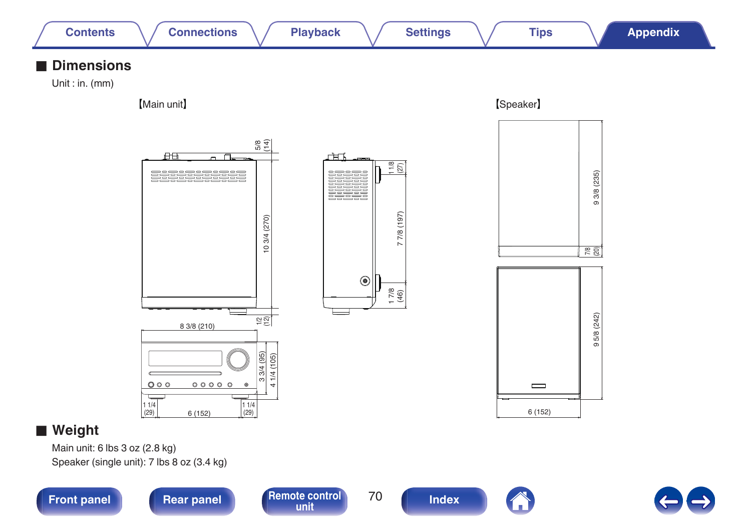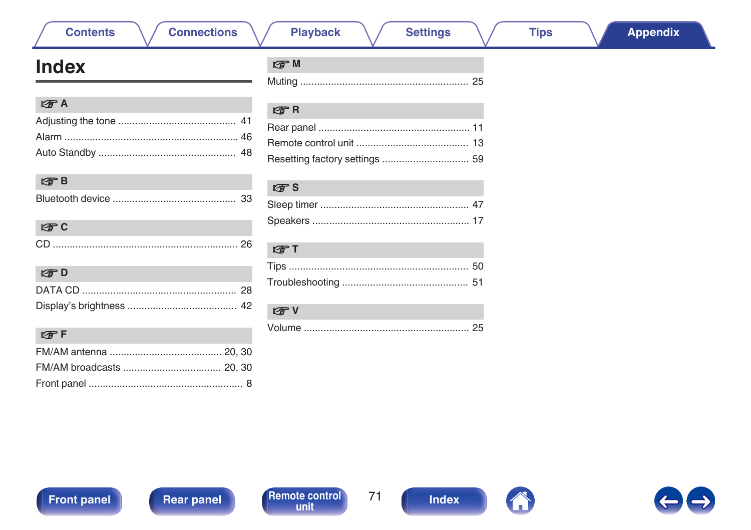# Front panel



 $71$ 

25

**Tips** 

# <span id="page-70-0"></span>**Index**

**Contents** 

| $F \rightarrow A$ |  |
|-------------------|--|
|                   |  |
|                   |  |
|                   |  |

**Connections** 

| CD. |  |
|-----|--|

| r Tr D |  |
|--------|--|
|        |  |
|        |  |

| LY F |  |
|------|--|
|      |  |
|      |  |
|      |  |

| l?了M |  |
|------|--|
|      |  |

### $R^*R$

**Playback** 

| . |  |
|---|--|
|   |  |
|   |  |
|   |  |

## $R$

| $F \rightarrow T$ |  |
|-------------------|--|
|                   |  |
|                   |  |

# $\sqrt{2}$  V

|--|--|

| ory settings  59 |  |
|------------------|--|
|                  |  |
|                  |  |
|                  |  |

**Settings**